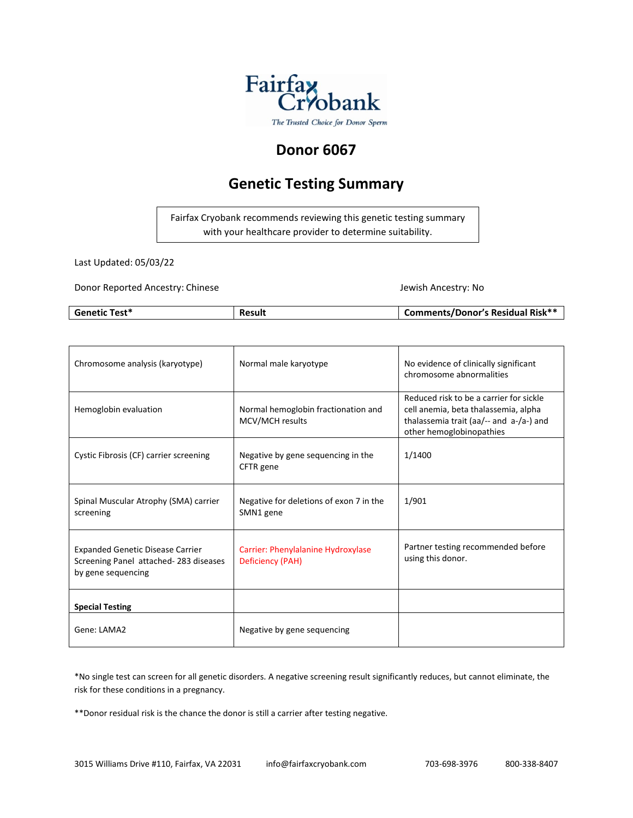

### **Donor 6067**

## **Genetic Testing Summary**

Fairfax Cryobank recommends reviewing this genetic testing summary with your healthcare provider to determine suitability.

Last Updated: 05/03/22

Donor Reported Ancestry: Chinese Jewish Ancestry: No

| <b>Genetic Test*</b> | <b>Result</b> | <b>Comments/Donor's Residual Risk**</b> |
|----------------------|---------------|-----------------------------------------|
|                      |               |                                         |

| Chromosome analysis (karyotype)                                                                        | Normal male karyotype                                  | No evidence of clinically significant<br>chromosome abnormalities                                                                                      |
|--------------------------------------------------------------------------------------------------------|--------------------------------------------------------|--------------------------------------------------------------------------------------------------------------------------------------------------------|
| Hemoglobin evaluation                                                                                  | Normal hemoglobin fractionation and<br>MCV/MCH results | Reduced risk to be a carrier for sickle<br>cell anemia, beta thalassemia, alpha<br>thalassemia trait (aa/-- and a-/a-) and<br>other hemoglobinopathies |
| Cystic Fibrosis (CF) carrier screening                                                                 | Negative by gene sequencing in the<br>CFTR gene        | 1/1400                                                                                                                                                 |
| Spinal Muscular Atrophy (SMA) carrier<br>screening                                                     | Negative for deletions of exon 7 in the<br>SMN1 gene   | 1/901                                                                                                                                                  |
| <b>Expanded Genetic Disease Carrier</b><br>Screening Panel attached-283 diseases<br>by gene sequencing | Carrier: Phenylalanine Hydroxylase<br>Deficiency (PAH) | Partner testing recommended before<br>using this donor.                                                                                                |
| <b>Special Testing</b>                                                                                 |                                                        |                                                                                                                                                        |
| Gene: LAMA2                                                                                            | Negative by gene sequencing                            |                                                                                                                                                        |

\*No single test can screen for all genetic disorders. A negative screening result significantly reduces, but cannot eliminate, the risk for these conditions in a pregnancy.

\*\*Donor residual risk is the chance the donor is still a carrier after testing negative.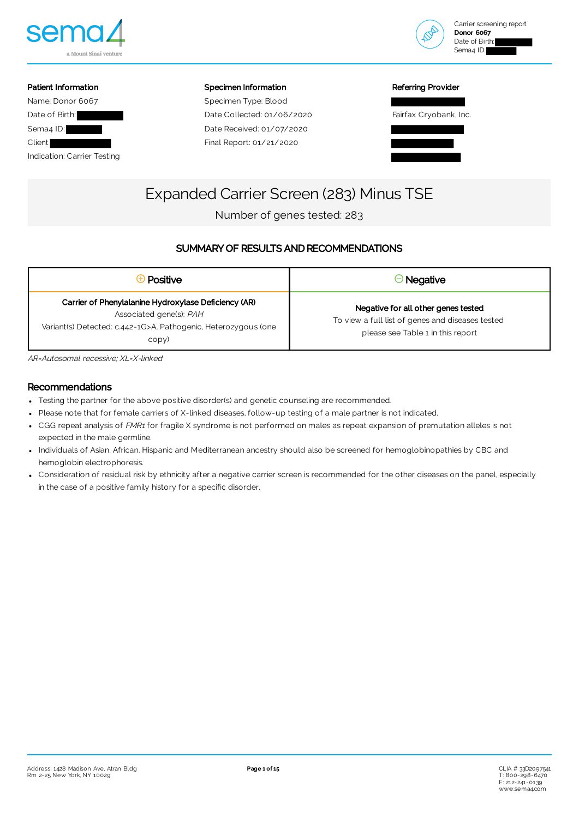



### Patient Information Name: Donor 6067 Date of Birth: Sema<sub>4</sub> ID: Client Indication: Carrier Testing

Specimen Information

Specimen Type: Blood Date Collected: 01/06/2020 Date Received: 01/07/2020 Final Report: 01/21/2020

### Referring Provider



# Expanded Carrier Screen (283) Minus TSE

Number of genes tested: 283

### SUMMARY OF RESULTS AND RECOMMENDATIONS

| Positive                                                                                                                                                   | $\Theta$ Negative                                                                                                            |
|------------------------------------------------------------------------------------------------------------------------------------------------------------|------------------------------------------------------------------------------------------------------------------------------|
| Carrier of Phenylalanine Hydroxylase Deficiency (AR)<br>Associated gene(s): PAH<br>Variant(s) Detected: c.442-1G>A, Pathogenic, Heterozygous (one<br>copy) | Negative for all other genes tested<br>To view a full list of genes and diseases tested<br>please see Table 1 in this report |

AR=Autosomal recessive; XL=X-linked

### Recommendations

- Testing the partner for the above positive disorder(s) and genetic counseling are recommended.
- Please note that for female carriers of X-linked diseases, follow-up testing of a male partner is not indicated.
- CGG repeat analysis of FMR1 for fragile X syndrome is not performed on males as repeat expansion of premutation alleles is not expected in the male germline.
- Individuals of Asian, African, Hispanic and Mediterranean ancestry should also be screened for hemoglobinopathies by CBC and hemoglobin electrophoresis.
- Consideration of residual risk by ethnicity after a negative carrier screen is recommended for the other diseases on the panel, especially in the case of a positive family history for a specific disorder.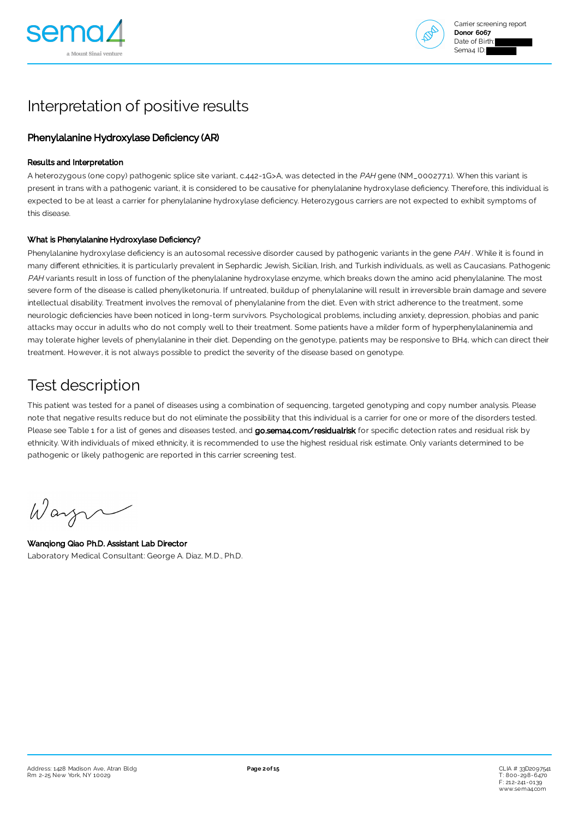



# Interpretation of positive results

### Phenylalanine Hydroxylase Deficiency (AR)

### Results and Interpretation

A heterozygous (one copy) pathogenic splice site variant, c.442-1G>A, was detected in the PAH gene (NM\_000277.1). When this variant is present in trans with a pathogenic variant, it is considered to be causative for phenylalanine hydroxylase deficiency. Therefore, this individual is expected to be at least a carrier for phenylalanine hydroxylase deficiency. Heterozygous carriers are not expected to exhibit symptoms of this disease.

### What is Phenylalanine Hydroxylase Deficiency?

Phenylalanine hydroxylase deficiency is an autosomal recessive disorder caused by pathogenic variants in the gene PAH. While it is found in many different ethnicities, it is particularly prevalent in Sephardic Jewish, Sicilian, Irish, and Turkish individuals, as well as Caucasians. Pathogenic PAH variants result in loss of function of the phenylalanine hydroxylase enzyme, which breaks down the amino acid phenylalanine. The most severe form of the disease is called phenylketonuria. If untreated, buildup of phenylalanine will result in irreversible brain damage and severe intellectual disability. Treatment involves the removal of phenylalanine from the diet. Even with strict adherence to the treatment, some neurologic deficiencies have been noticed in long-term survivors. Psychological problems, including anxiety, depression, phobias and panic attacks may occur in adults who do not comply well to their treatment. Some patients have a milder form of hyperphenylalaninemia and may tolerate higher levels of phenylalanine in their diet. Depending on the genotype, patients may be responsive to BH4, which can direct their treatment. However, it is not always possible to predict the severity of the disease based on genotype.

### Test description

This patient was tested for a panel of diseases using a combination of sequencing, targeted genotyping and copy number analysis. Please note that negative results reduce but do not eliminate the possibility that this individual is a carrier for one or more of the disorders tested. Please see Table 1 for a list of genes and diseases tested, and [go.sema4.com/residualrisk](https://go.sema4.com/residualrisk) for specific detection rates and residual risk by ethnicity. With individuals of mixed ethnicity, it is recommended to use the highest residual risk estimate. Only variants determined to be pathogenic or likely pathogenic are reported in this carrier screening test.

Wayn

Wanqiong Qiao Ph.D. Assistant Lab Director Laboratory Medical Consultant: George A. Diaz, M.D., Ph.D.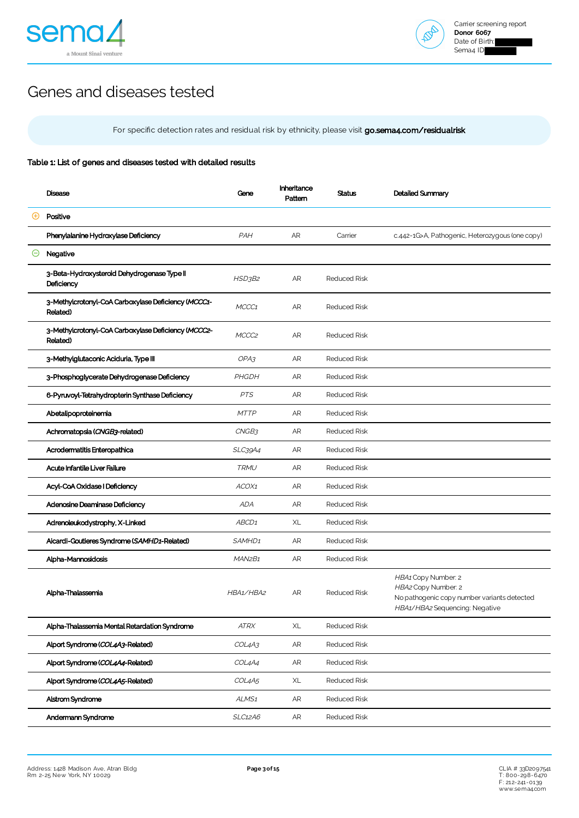



# Genes and diseases tested

For specific detection rates and residual risk by ethnicity, please visit [go.sema4.com/residualrisk](https://go.sema4.com/residualrisk)

### Table 1: List of genes and diseases tested with detailed results

|              | Disease                                                         | Gene                            | Inheritance<br>Pattern | Status              | Detailed Summary                                                                                                            |
|--------------|-----------------------------------------------------------------|---------------------------------|------------------------|---------------------|-----------------------------------------------------------------------------------------------------------------------------|
| $\rm \Theta$ | Positive                                                        |                                 |                        |                     |                                                                                                                             |
|              | Phenylalanine Hydroxylase Deficiency                            | PAH                             | AR                     | Carrier             | c.442-1G>A, Pathogenic, Heterozygous (one copy)                                                                             |
| Θ            | Negative                                                        |                                 |                        |                     |                                                                                                                             |
|              | 3-Beta-Hydroxysteroid Dehydrogenase Type II<br>Deficiency       | HSD3B2                          | AR                     | <b>Reduced Risk</b> |                                                                                                                             |
|              | 3-Methylcrotonyl-CoA Carboxylase Deficiency (MCCC1-<br>Related) | MCCC1                           | AR                     | <b>Reduced Risk</b> |                                                                                                                             |
|              | 3-Methylcrotonyl-CoA Carboxylase Deficiency (MCCC2-<br>Related) | MCCC <sub>2</sub>               | AR                     | <b>Reduced Risk</b> |                                                                                                                             |
|              | 3-Methylglutaconic Aciduria, Type III                           | OPA3                            | AR                     | <b>Reduced Risk</b> |                                                                                                                             |
|              | 3-Phosphoglycerate Dehydrogenase Deficiency                     | PHGDH                           | AR                     | <b>Reduced Risk</b> |                                                                                                                             |
|              | 6-Pyruvoyl-Tetrahydropterin Synthase Deficiency                 | <b>PTS</b>                      | AR                     | <b>Reduced Risk</b> |                                                                                                                             |
|              | Abetalipoproteinemia                                            | <b>MTTP</b>                     | AR                     | <b>Reduced Risk</b> |                                                                                                                             |
|              | Achromatopsia (CNGB3-related)                                   | CNGB3                           | AR                     | <b>Reduced Risk</b> |                                                                                                                             |
|              | Acrodermatitis Enteropathica                                    | SLC39A4                         | AR                     | <b>Reduced Risk</b> |                                                                                                                             |
|              | Acute Infantile Liver Failure                                   | <b>TRMU</b>                     | <b>AR</b>              | <b>Reduced Risk</b> |                                                                                                                             |
|              | Acyl-CoA Oxidase I Deficiency                                   | ACOX1                           | AR                     | <b>Reduced Risk</b> |                                                                                                                             |
|              | Adenosine Deaminase Deficiency                                  | <b>ADA</b>                      | AR                     | <b>Reduced Risk</b> |                                                                                                                             |
|              | Adrenoleukodystrophy, X-Linked                                  | ABCD <sub>1</sub>               | XL                     | <b>Reduced Risk</b> |                                                                                                                             |
|              | Aicardi-Goutieres Syndrome (SAMHD1-Related)                     | SAMHD1                          | AR                     | <b>Reduced Risk</b> |                                                                                                                             |
|              | Alpha-Mannosidosis                                              | MAN <sub>2</sub> B <sub>1</sub> | AR                     | <b>Reduced Risk</b> |                                                                                                                             |
|              | Alpha-Thalassemia                                               | HBA1/HBA2                       | AR                     | <b>Reduced Risk</b> | HBA1 Copy Number: 2<br>HBA2 Copy Number: 2<br>No pathogenic copy number variants detected<br>HBA1/HBA2 Sequencing: Negative |
|              | Alpha-Thalassemia Mental Retardation Syndrome                   | ATRX                            | XL                     | <b>Reduced Risk</b> |                                                                                                                             |
|              | Alport Syndrome (COL4A3-Related)                                | COL4A3                          | ${\sf AR}$             | <b>Reduced Risk</b> |                                                                                                                             |
|              | Alport Syndrome (COL4A4-Related)                                | COL4A4                          | AR                     | <b>Reduced Risk</b> |                                                                                                                             |
|              | Alport Syndrome (COL4A5-Related)                                | COL4A5                          | XL                     | <b>Reduced Risk</b> |                                                                                                                             |
|              | Alstrom Syndrome                                                | ALMS <sub>1</sub>               | AR                     | <b>Reduced Risk</b> |                                                                                                                             |
|              | Andermann Syndrome                                              | SLC12A6                         | AR                     | Reduced Risk        |                                                                                                                             |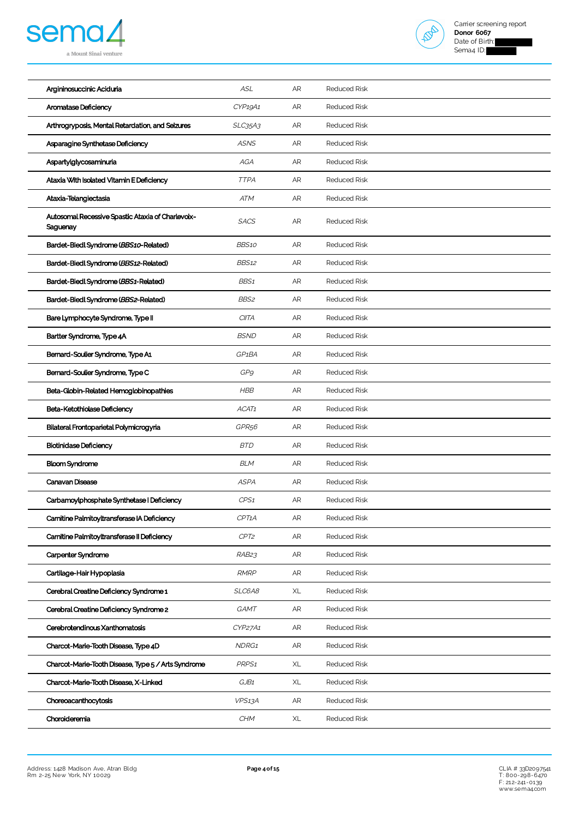



| Argininosuccinic Aciduria                                     | <b>ASL</b>         | AR         | <b>Reduced Risk</b> |
|---------------------------------------------------------------|--------------------|------------|---------------------|
| Aromatase Deficiency                                          | CYP19A1            | AR         | <b>Reduced Risk</b> |
| Arthrogryposis, Mental Retardation, and Seizures              | SLC35A3            | AR         | <b>Reduced Risk</b> |
| Asparagine Synthetase Deficiency                              | <b>ASNS</b>        | AR         | <b>Reduced Risk</b> |
| Aspartylglycosaminuria                                        | AGA                | AR         | <b>Reduced Risk</b> |
| Ataxia With Isolated Vitamin E Deficiency                     | <b>TTPA</b>        | AR         | <b>Reduced Risk</b> |
| Ataxia-Telangiectasia                                         | <b>ATM</b>         | ${\sf AR}$ | <b>Reduced Risk</b> |
| Autosomal Recessive Spastic Ataxia of Charlevoix-<br>Saguenay | <b>SACS</b>        | AR         | <b>Reduced Risk</b> |
| Bardet-Biedl Syndrome (BBS10-Related)                         | BBS10              | ${\sf AR}$ | <b>Reduced Risk</b> |
| Bardet-Biedl Syndrome (BBS12-Related)                         | <b>BBS12</b>       | AR         | <b>Reduced Risk</b> |
| Bardet-Biedl Syndrome (BBS1-Related)                          | BBS <sub>1</sub>   | AR         | <b>Reduced Risk</b> |
| Bardet-Biedl Syndrome (BBS2-Related)                          | BBS2               | AR         | <b>Reduced Risk</b> |
| Bare Lymphocyte Syndrome, Type II                             | <b>CIITA</b>       | AR         | <b>Reduced Risk</b> |
| Bartter Syndrome, Type 4A                                     | <b>BSND</b>        | AR         | <b>Reduced Risk</b> |
| Bernard-Soulier Syndrome, Type A1                             | GP <sub>1</sub> BA | AR         | <b>Reduced Risk</b> |
| Bernard-Soulier Syndrome, Type C                              | GP9                | AR         | <b>Reduced Risk</b> |
| Beta-Globin-Related Hemoglobinopathies                        | <b>HBB</b>         | AR         | <b>Reduced Risk</b> |
| Beta-Ketothiolase Deficiency                                  | ACAT1              | AR         | <b>Reduced Risk</b> |
| Bilateral Frontoparietal Polymicrogyria                       | GPR <sub>56</sub>  | AR         | <b>Reduced Risk</b> |
| <b>Biotinidase Deficiency</b>                                 | <b>BTD</b>         | AR         | <b>Reduced Risk</b> |
| <b>Bloom Syndrome</b>                                         | <b>BLM</b>         | AR         | <b>Reduced Risk</b> |
| Canavan Disease                                               | <b>ASPA</b>        | AR         | <b>Reduced Risk</b> |
| Carbamoylphosphate Synthetase I Deficiency                    | CPS1               | AR         | <b>Reduced Risk</b> |
| Carnitine Palmitoyltransferase IA Deficiency                  | CPT1A              | ${\sf AR}$ | <b>Reduced Risk</b> |
| Carnitine Palmitoyltransferase II Deficiency                  | CPT2               | AR         | <b>Reduced Risk</b> |
| Carpenter Syndrome                                            | RAB <sub>23</sub>  | AR         | <b>Reduced Risk</b> |
| Cartilage-Hair Hypoplasia                                     | <b>RMRP</b>        | AR         | <b>Reduced Risk</b> |
| Cerebral Creatine Deficiency Syndrome 1                       | SLC6A8             | XL         | <b>Reduced Risk</b> |
| Cerebral Creatine Deficiency Syndrome 2                       | GAMT               | AR         | <b>Reduced Risk</b> |
| Cerebrotendinous Xanthomatosis                                | CYP27A1            | AR         | <b>Reduced Risk</b> |
| Charcot-Marie-Tooth Disease, Type 4D                          | NDRG1              | AR         | <b>Reduced Risk</b> |
| Charcot-Marie-Tooth Disease, Type 5 / Arts Syndrome           | PRPS <sub>1</sub>  | XL         | <b>Reduced Risk</b> |
| Charcot-Marie-Tooth Disease, X-Linked                         | GJB1               | XL         | <b>Reduced Risk</b> |
| Choreoacanthocytosis                                          | VPS13A             | AR         | <b>Reduced Risk</b> |
| Choroideremia                                                 | <b>CHM</b>         | XL         | <b>Reduced Risk</b> |
|                                                               |                    |            |                     |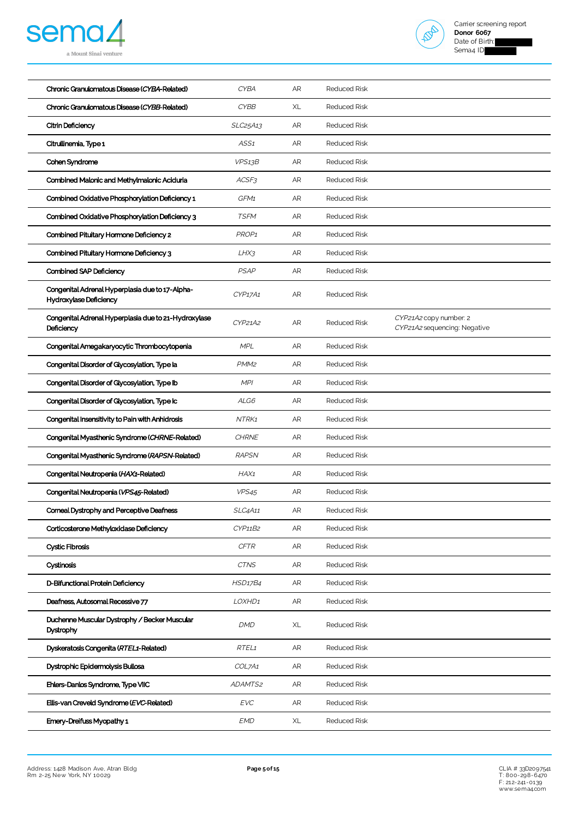



| Chronic Granulomatous Disease (CYBB-Related)<br><b>CYBB</b><br>XL<br>Reduced Risk<br>SLC25A13<br>AR<br><b>Reduced Risk</b><br>Citrin Deficiency               |  |
|---------------------------------------------------------------------------------------------------------------------------------------------------------------|--|
|                                                                                                                                                               |  |
|                                                                                                                                                               |  |
| Citrullinemia, Type 1<br><b>Reduced Risk</b><br>ASS1<br>AR                                                                                                    |  |
| VPS13B<br>AR<br><b>Reduced Risk</b><br>Cohen Syndrome                                                                                                         |  |
| Combined Malonic and Methylmalonic Aciduria<br>AR<br><b>Reduced Risk</b><br>ACSF3                                                                             |  |
| Combined Oxidative Phosphorylation Deficiency 1<br>GFM1<br>AR<br><b>Reduced Risk</b>                                                                          |  |
| Combined Oxidative Phosphorylation Deficiency 3<br><b>TSFM</b><br>AR<br><b>Reduced Risk</b>                                                                   |  |
| Combined Pituitary Hormone Deficiency 2<br>PROP <sub>1</sub><br>AR<br><b>Reduced Risk</b>                                                                     |  |
| Combined Pituitary Hormone Deficiency 3<br>LHX3<br>AR<br><b>Reduced Risk</b>                                                                                  |  |
| Combined SAP Deficiency<br><b>PSAP</b><br>AR<br><b>Reduced Risk</b>                                                                                           |  |
| Congenital Adrenal Hyperplasia due to 17-Alpha-<br><b>Reduced Risk</b><br>CYP17A1<br>AR<br>Hydroxylase Deficiency                                             |  |
| Congenital Adrenal Hyperplasia due to 21-Hydroxylase<br>CYP21A2 copy number: 2<br>CYP21A2<br>AR<br>Reduced Risk<br>Deficiency<br>CYP21A2 sequencing: Negative |  |
| <b>MPL</b><br>AR<br>Congenital Amegakaryocytic Thrombocytopenia<br>Reduced Risk                                                                               |  |
| Congenital Disorder of Glycosylation, Type la<br>PMM <sub>2</sub><br>AR<br><b>Reduced Risk</b>                                                                |  |
| MPI<br>AR<br><b>Reduced Risk</b><br>Congenital Disorder of Glycosylation, Type Ib                                                                             |  |
| Congenital Disorder of Glycosylation, Type Ic<br>ALG6<br>AR<br><b>Reduced Risk</b>                                                                            |  |
| Congenital Insensitivity to Pain with Anhidrosis<br>NTRK1<br>AR<br><b>Reduced Risk</b>                                                                        |  |
| Congenital Myasthenic Syndrome (CHRNE-Related)<br><b>CHRNE</b><br>AR<br><b>Reduced Risk</b>                                                                   |  |
| Congenital Myasthenic Syndrome (RAPSN-Related)<br>AR<br><b>Reduced Risk</b><br><b>RAPSN</b>                                                                   |  |
| Congenital Neutropenia (HAX1-Related)<br>HAX1<br>AR<br><b>Reduced Risk</b>                                                                                    |  |
| Congenital Neutropenia (VPS45-Related)<br><b>Reduced Risk</b><br><b>VPS45</b><br>AR                                                                           |  |
| Corneal Dystrophy and Perceptive Deafness<br>SLC4A11<br><b>Reduced Risk</b><br>AR                                                                             |  |
| Corticosterone Methyloxidase Deficiency<br>CYP11B2<br>AR<br>Reduced Risk                                                                                      |  |
| <b>Cystic Fibrosis</b><br><b>CFTR</b><br>AR<br>Reduced Risk                                                                                                   |  |
| Cystinosis<br><b>CTNS</b><br>AR<br><b>Reduced Risk</b>                                                                                                        |  |
| D-Bifunctional Protein Deficiency<br>AR<br>Reduced Risk<br><b>HSD17B4</b>                                                                                     |  |
| Deafness, Autosomal Recessive 77<br>AR<br>LOXHD1<br>Reduced Risk                                                                                              |  |
| Duchenne Muscular Dystrophy / Becker Muscular<br>DMD<br>XL<br><b>Reduced Risk</b><br>Dystrophy                                                                |  |
| Dyskeratosis Congenita (RTEL1-Related)<br>RTEL <sub>1</sub><br>AR<br><b>Reduced Risk</b>                                                                      |  |
| Dystrophic Epidermolysis Bullosa<br>COL7A1<br>AR<br>Reduced Risk                                                                                              |  |
| Ehlers-Danlos Syndrome, Type VIIC<br>ADAMTS2<br><b>Reduced Risk</b><br>AR                                                                                     |  |
| <b>EVC</b><br>Ellis-van Creveld Syndrome (EVC-Related)<br>AR<br>Reduced Risk                                                                                  |  |
|                                                                                                                                                               |  |

CLIA # 33D2097541<br>T: 800-298-6470<br>F: 212-244-0139<br>[www.sema4.com](https://www.sema4.com/)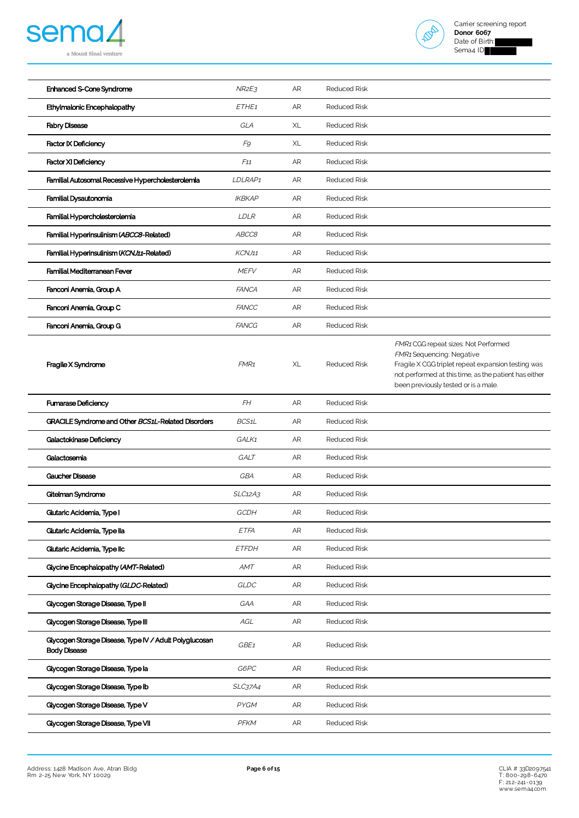



| Enhanced S-Cone Syndrome                                                      | NR2E3            | AR         | <b>Reduced Risk</b> |                                                                                                                                                                                                                          |
|-------------------------------------------------------------------------------|------------------|------------|---------------------|--------------------------------------------------------------------------------------------------------------------------------------------------------------------------------------------------------------------------|
| Ethylmalonic Encephalopathy                                                   | ETHE1            | AR         | <b>Reduced Risk</b> |                                                                                                                                                                                                                          |
| <b>Fabry Disease</b>                                                          | GLA              | XL         | <b>Reduced Risk</b> |                                                                                                                                                                                                                          |
| <b>Factor IX Deficiency</b>                                                   | F9               | XL         | <b>Reduced Risk</b> |                                                                                                                                                                                                                          |
| <b>Factor XI Deficiency</b>                                                   | F11              | AR         | <b>Reduced Risk</b> |                                                                                                                                                                                                                          |
| Familial Autosomal Recessive Hypercholesterolemia                             | LDLRAP1          | AR         | <b>Reduced Risk</b> |                                                                                                                                                                                                                          |
| Familial Dysautonomia                                                         | <b>IKBKAP</b>    | AR         | <b>Reduced Risk</b> |                                                                                                                                                                                                                          |
| Familial Hypercholesterolemia                                                 | LDLR             | AR         | <b>Reduced Risk</b> |                                                                                                                                                                                                                          |
| Familial Hyperinsulinism (ABCC8-Related)                                      | ABCC8            | AR         | <b>Reduced Risk</b> |                                                                                                                                                                                                                          |
| Familial Hyperinsulinism (KCNJ11-Related)                                     | KCNJ11           | AR         | <b>Reduced Risk</b> |                                                                                                                                                                                                                          |
| Familial Mediterranean Fever                                                  | <b>MEFV</b>      | AR         | <b>Reduced Risk</b> |                                                                                                                                                                                                                          |
| Fanconi Anemia, Group A                                                       | <b>FANCA</b>     | AR         | <b>Reduced Risk</b> |                                                                                                                                                                                                                          |
| Fanconi Anemia, Group C                                                       | <b>FANCC</b>     | AR         | <b>Reduced Risk</b> |                                                                                                                                                                                                                          |
| Fanconi Anemia, Group G                                                       | <b>FANCG</b>     | AR         | <b>Reduced Risk</b> |                                                                                                                                                                                                                          |
| Fragile X Syndrome                                                            | FMR <sub>1</sub> | XL         | <b>Reduced Risk</b> | FMR1 CGG repeat sizes: Not Performed<br>FMR1 Sequencing: Negative<br>Fragile X CGG triplet repeat expansion testing was<br>not performed at this time, as the patient has either<br>been previously tested or is a male. |
| <b>Fumarase Deficiency</b>                                                    | FH               | AR         | <b>Reduced Risk</b> |                                                                                                                                                                                                                          |
| GRACILE Syndrome and Other BCS1L-Related Disorders                            | BCS1L            | AR         | <b>Reduced Risk</b> |                                                                                                                                                                                                                          |
| Galactokinase Deficiency                                                      | GALK1            | AR         | <b>Reduced Risk</b> |                                                                                                                                                                                                                          |
| Galactosemia                                                                  | GALT             | AR         | <b>Reduced Risk</b> |                                                                                                                                                                                                                          |
| Gaucher Disease                                                               | GBA              | AR         | <b>Reduced Risk</b> |                                                                                                                                                                                                                          |
| Gitelman Syndrome                                                             | SLC12A3          | AR         | <b>Reduced Risk</b> |                                                                                                                                                                                                                          |
| Glutaric Acidemia, Type I                                                     | GCDH             | AR         | <b>Reduced Risk</b> |                                                                                                                                                                                                                          |
| Glutaric Acidemia, Type lla                                                   | ETFA             | AR         | <b>Reduced Risk</b> |                                                                                                                                                                                                                          |
| Glutaric Acidemia, Type IIc                                                   | <b>ETFDH</b>     | AR         | <b>Reduced Risk</b> |                                                                                                                                                                                                                          |
| Glycine Encephalopathy (AMT-Related)                                          | <b>AMT</b>       | AR         | <b>Reduced Risk</b> |                                                                                                                                                                                                                          |
| Glycine Encephalopathy (GLDC-Related)                                         | GLDC             | AR         | <b>Reduced Risk</b> |                                                                                                                                                                                                                          |
| Glycogen Storage Disease, Type II                                             | GAA              | AR         | <b>Reduced Risk</b> |                                                                                                                                                                                                                          |
| Glycogen Storage Disease, Type III                                            | AGL              | AR         | <b>Reduced Risk</b> |                                                                                                                                                                                                                          |
| Glycogen Storage Disease, Type IV / Adult Polyglucosan<br><b>Body Disease</b> | GBE1             | ${\sf AR}$ | <b>Reduced Risk</b> |                                                                                                                                                                                                                          |
| Glycogen Storage Disease, Type la                                             | G6PC             | AR         | <b>Reduced Risk</b> |                                                                                                                                                                                                                          |
| Glycogen Storage Disease, Type Ib                                             | SLC37A4          | AR         | <b>Reduced Risk</b> |                                                                                                                                                                                                                          |
| Glycogen Storage Disease, Type V                                              | PYGM             | AR         | <b>Reduced Risk</b> |                                                                                                                                                                                                                          |
| Glycogen Storage Disease, Type VII                                            | PFKM             | ${\sf AR}$ | <b>Reduced Risk</b> |                                                                                                                                                                                                                          |

CLIA # 33D2097541<br>T: 800-298-6470<br>F: 212-244-0139<br>[www.sema4.com](https://www.sema4.com/)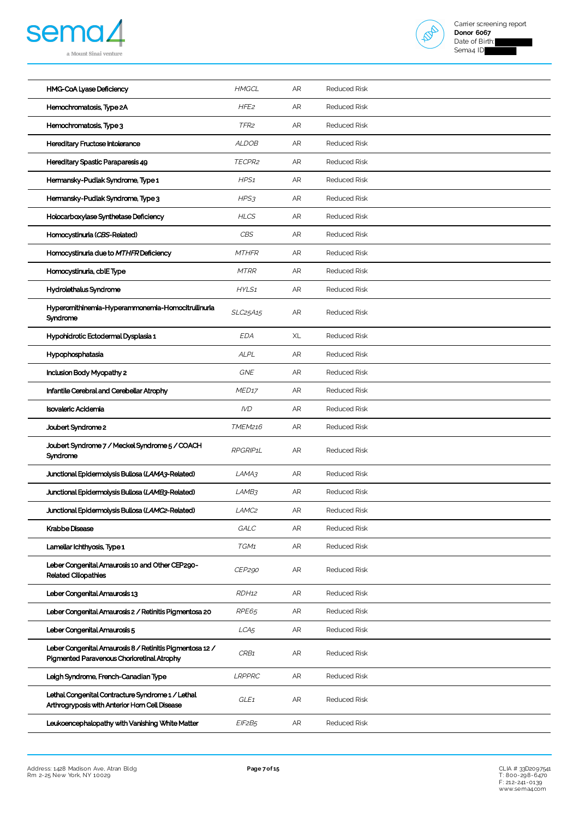



| HMG-CoA Lyase Deficiency                                                                               | <b>HMGCL</b>      | AR | <b>Reduced Risk</b> |
|--------------------------------------------------------------------------------------------------------|-------------------|----|---------------------|
| Hemochromatosis, Type 2A                                                                               | HFE <sub>2</sub>  | AR | <b>Reduced Risk</b> |
| Hemochromatosis, Type 3                                                                                | TFR <sub>2</sub>  | AR | <b>Reduced Risk</b> |
| Hereditary Fructose Intolerance                                                                        | <b>ALDOB</b>      | AR | <b>Reduced Risk</b> |
| Hereditary Spastic Paraparesis 49                                                                      | TECPR2            | AR | <b>Reduced Risk</b> |
| Hermansky-Pudlak Syndrome, Type 1                                                                      | HPS1              | AR | <b>Reduced Risk</b> |
| Hermansky-Pudlak Syndrome, Type 3                                                                      | HPS3              | AR | <b>Reduced Risk</b> |
| Holocarboxylase Synthetase Deficiency                                                                  | <b>HLCS</b>       | AR | <b>Reduced Risk</b> |
| Homocystinuria (CBS-Related)                                                                           | <b>CBS</b>        | AR | <b>Reduced Risk</b> |
| Homocystinuria due to MTHFR Deficiency                                                                 | <b>MTHFR</b>      | AR | <b>Reduced Risk</b> |
| Homocystinuria, cblEType                                                                               | <b>MTRR</b>       | AR | <b>Reduced Risk</b> |
| Hydrolethalus Syndrome                                                                                 | HYLS1             | AR | <b>Reduced Risk</b> |
| Hyperornithinemia-Hyperammonemia-Homocitrullinuria<br>Syndrome                                         | SLC25A15          | AR | <b>Reduced Risk</b> |
| Hypohidrotic Ectodermal Dysplasia 1                                                                    | <b>EDA</b>        | XL | <b>Reduced Risk</b> |
| Hypophosphatasia                                                                                       | <b>ALPL</b>       | AR | <b>Reduced Risk</b> |
| Inclusion Body Myopathy 2                                                                              | <b>GNE</b>        | AR | <b>Reduced Risk</b> |
| Infantile Cerebral and Cerebellar Atrophy                                                              | MED <sub>17</sub> | AR | <b>Reduced Risk</b> |
| Isovaleric Acidemia                                                                                    | <b>IVD</b>        | AR | <b>Reduced Risk</b> |
| Joubert Syndrome 2                                                                                     | TMEM216           | AR | <b>Reduced Risk</b> |
| Joubert Syndrome 7 / Meckel Syndrome 5 / COACH<br>Syndrome                                             | RPGRIP1L          | AR | <b>Reduced Risk</b> |
| Junctional Epidermolysis Bullosa (LAMA3-Related)                                                       | LAMA3             | AR | <b>Reduced Risk</b> |
| Junctional Epidermolysis Bullosa (LAMB3-Related)                                                       | LAMB3             | AR | Reduced Risk        |
| Junctional Epidermolysis Bullosa (LAMC2-Related)                                                       | LAMC <sub>2</sub> | AR | <b>Reduced Risk</b> |
| Krabbe Disease                                                                                         | GALC              | AR | Reduced Risk        |
| Lamellar Ichthyosis, Type 1                                                                            | TGM1              | AR | <b>Reduced Risk</b> |
| Leber Congenital Amaurosis 10 and Other CEP290-<br><b>Related Ciliopathies</b>                         | CEP290            | AR | <b>Reduced Risk</b> |
| Leber Congenital Amaurosis 13                                                                          | RDH <sub>12</sub> | AR | <b>Reduced Risk</b> |
| Leber Congenital Amaurosis 2 / Retinitis Pigmentosa 20                                                 | RPE65             | AR | <b>Reduced Risk</b> |
| Leber Congenital Amaurosis 5                                                                           | LCA <sub>5</sub>  | AR | <b>Reduced Risk</b> |
| Leber Congenital Amaurosis 8 / Retinitis Pigmentosa 12 /<br>Pigmented Paravenous Chorioretinal Atrophy | CRB1              | AR | <b>Reduced Risk</b> |
| Leigh Syndrome, French-Canadian Type                                                                   | LRPPRC            | AR | <b>Reduced Risk</b> |
| Lethal Congenital Contracture Syndrome 1 / Lethal<br>Arthrogryposis with Anterior Horn Cell Disease    | GLE <sub>1</sub>  | AR | <b>Reduced Risk</b> |
| Leukoencephalopathy with Vanishing White Matter                                                        | EIF2B5            | AR | <b>Reduced Risk</b> |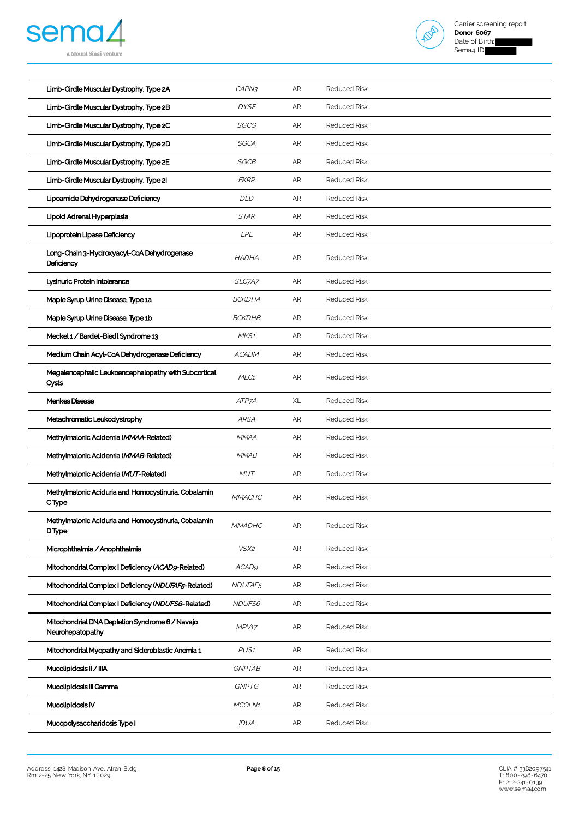



| Limb-Girdle Muscular Dystrophy, Type 2A                               | CAPN3            | AR         | <b>Reduced Risk</b> |
|-----------------------------------------------------------------------|------------------|------------|---------------------|
| Limb-Girdle Muscular Dystrophy, Type 2B                               | <b>DYSF</b>      | AR         | <b>Reduced Risk</b> |
| Limb-Girdle Muscular Dystrophy, Type 2C                               | SGCG             | AR         | <b>Reduced Risk</b> |
| Limb-Girdle Muscular Dystrophy, Type 2D                               | SGCA             | AR         | <b>Reduced Risk</b> |
| Limb-Girdle Muscular Dystrophy, Type 2E                               | SGCB             | AR         | <b>Reduced Risk</b> |
| Limb-Girdle Muscular Dystrophy, Type 21                               | <b>FKRP</b>      | AR         | <b>Reduced Risk</b> |
| Lipoamide Dehydrogenase Deficiency                                    | DLD              | ${\sf AR}$ | <b>Reduced Risk</b> |
| Lipoid Adrenal Hyperplasia                                            | <b>STAR</b>      | AR         | <b>Reduced Risk</b> |
| Lipoprotein Lipase Deficiency                                         | LPL              | AR         | <b>Reduced Risk</b> |
| Long-Chain 3-Hydroxyacyl-CoA Dehydrogenase<br>Deficiency              | <b>HADHA</b>     | AR         | <b>Reduced Risk</b> |
| Lysinuric Protein Intolerance                                         | SLC7A7           | AR         | <b>Reduced Risk</b> |
| Maple Syrup Urine Disease, Type 1a                                    | <b>BCKDHA</b>    | AR         | <b>Reduced Risk</b> |
| Maple Syrup Urine Disease, Type 1b                                    | <b>BCKDHB</b>    | AR         | <b>Reduced Risk</b> |
| Meckel 1 / Bardet-Biedl Syndrome 13                                   | MKS1             | AR         | <b>Reduced Risk</b> |
| Medium Chain Acyl-CoA Dehydrogenase Deficiency                        | <b>ACADM</b>     | AR         | <b>Reduced Risk</b> |
| Megalencephalic Leukoencephalopathy with Subcortical<br>Cysts         | MLC1             | AR         | Reduced Risk        |
| Menkes Disease                                                        | ATP7A            | XL         | <b>Reduced Risk</b> |
| Metachromatic Leukodystrophy                                          | <b>ARSA</b>      | AR         | <b>Reduced Risk</b> |
| Methylmalonic Acidemia (MMAA-Related)                                 | <b>MMAA</b>      | AR         | <b>Reduced Risk</b> |
| Methylmalonic Acidemia (MMAB-Related)                                 | <b>MMAB</b>      | AR         | <b>Reduced Risk</b> |
| Methylmalonic Acidemia (MUT-Related)                                  | <b>MUT</b>       | AR         | <b>Reduced Risk</b> |
| Methylmalonic Aciduria and Homocystinuria, Cobalamin<br>CType         | <b>MMACHC</b>    | AR         | <b>Reduced Risk</b> |
| Methylmalonic Aciduria and Homocystinuria, Cobalamin<br><b>D</b> Type | <b>MMADHC</b>    | AR         | <b>Reduced Risk</b> |
| Microphthalmia / Anophthalmia                                         | VSX2             | AR         | <b>Reduced Risk</b> |
| Mitochondrial Complex   Deficiency (ACADg-Related)                    | <b>ACAD9</b>     | AR         | Reduced Risk        |
| Mitochondrial Complex I Deficiency (NDUFAF5-Related)                  | NDUFAF5          | AR         | <b>Reduced Risk</b> |
| Mitochondrial Complex   Deficiency (NDUFS6-Related)                   | NDUFS6           | AR         | <b>Reduced Risk</b> |
| Mitochondrial DNA Depletion Syndrome 6 / Navajo<br>Neurohepatopathy   | MPV17            | AR         | <b>Reduced Risk</b> |
| Mitochondrial Myopathy and Sideroblastic Anemia 1                     | PUS <sub>1</sub> | AR         | <b>Reduced Risk</b> |
| Mucolipidosis II / IIIA                                               | <b>GNPTAB</b>    | AR         | <b>Reduced Risk</b> |
| Mucolipidosis III Gamma                                               | <b>GNPTG</b>     | AR         | <b>Reduced Risk</b> |
| Mucolipidosis IV                                                      | MCOLN1           | AR         | <b>Reduced Risk</b> |
| Mucopolysaccharidosis Type I                                          | IDUA             | AR         | <b>Reduced Risk</b> |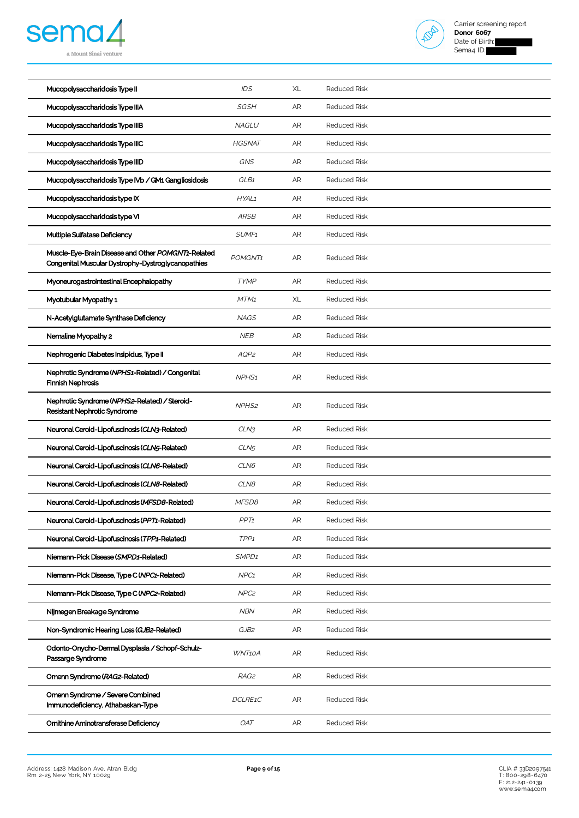



| Mucopolysaccharidosis Type II                                                                            | IDS               | XL         | <b>Reduced Risk</b> |
|----------------------------------------------------------------------------------------------------------|-------------------|------------|---------------------|
| Mucopolysaccharidosis Type IIIA                                                                          | <b>SGSH</b>       | AR         | <b>Reduced Risk</b> |
| Mucopolysaccharidosis Type IIIB                                                                          | <b>NAGLU</b>      | AR         | <b>Reduced Risk</b> |
| Mucopolysaccharidosis Type IIIC                                                                          | <b>HGSNAT</b>     | AR         | <b>Reduced Risk</b> |
| Mucopolysaccharidosis Type IIID                                                                          | GNS               | AR         | <b>Reduced Risk</b> |
| Mucopolysaccharidosis Type IVb / GM1 Gangliosidosis                                                      | GLB1              | AR         | <b>Reduced Risk</b> |
| Mucopolysaccharidosis type IX                                                                            | HYAL1             | AR         | <b>Reduced Risk</b> |
| Mucopolysaccharidosis type VI                                                                            | <b>ARSB</b>       | AR         | <b>Reduced Risk</b> |
| Multiple Sulfatase Deficiency                                                                            | SUMF <sub>1</sub> | AR         | <b>Reduced Risk</b> |
| Muscle-Eye-Brain Disease and Other POMGNT1-Related<br>Congenital Muscular Dystrophy-Dystroglycanopathies | POMGNT1           | AR         | <b>Reduced Risk</b> |
| Myoneurogastrointestinal Encephalopathy                                                                  | <b>TYMP</b>       | AR         | <b>Reduced Risk</b> |
| Myotubular Myopathy 1                                                                                    | MTM <sub>1</sub>  | XL         | <b>Reduced Risk</b> |
| N-Acetylglutamate Synthase Deficiency                                                                    | <b>NAGS</b>       | AR         | <b>Reduced Risk</b> |
| Nemaline Myopathy 2                                                                                      | <b>NEB</b>        | AR         | <b>Reduced Risk</b> |
| Nephrogenic Diabetes Insipidus, Type II                                                                  | AQP2              | AR         | <b>Reduced Risk</b> |
| Nephrotic Syndrome (NPHS1-Related) / Congenital<br><b>Finnish Nephrosis</b>                              | NPHS <sub>1</sub> | AR         | <b>Reduced Risk</b> |
| Nephrotic Syndrome (NPHS2-Related) / Steroid-<br>Resistant Nephrotic Syndrome                            | NPHS <sub>2</sub> | AR         | <b>Reduced Risk</b> |
| Neuronal Ceroid-Lipofuscinosis (CLN3-Related)                                                            | CLN3              | ${\sf AR}$ | <b>Reduced Risk</b> |
| Neuronal Ceroid-Lipofuscinosis (CLN5-Related)                                                            | CLN <sub>5</sub>  | AR         | <b>Reduced Risk</b> |
| Neuronal Ceroid-Lipofuscinosis (CLN6-Related)                                                            | CLN6              | AR         | <b>Reduced Risk</b> |
| Neuronal Ceroid-Lipofuscinosis (CLN8-Related)                                                            | CLN8              | AR         | <b>Reduced Risk</b> |
| Neuronal Ceroid-Lipofuscinosis (MFSD8-Related)                                                           | MFSD8             | AR         | <b>Reduced Risk</b> |
| Neuronal Ceroid-Lipofuscinosis (PPT1-Related)                                                            | PP <sub>T1</sub>  | AR         | <b>Reduced Risk</b> |
| Neuronal Ceroid-Lipofuscinosis (TPP1-Related)                                                            | TPP <sub>1</sub>  | AR         | <b>Reduced Risk</b> |
| Niemann-Pick Disease (SMPD1-Related)                                                                     | SMPD <sub>1</sub> | AR         | <b>Reduced Risk</b> |
| Niemann-Pick Disease, Type C (NPC1-Related)                                                              | NPC <sub>1</sub>  | AR         | <b>Reduced Risk</b> |
| Niemann-Pick Disease, Type C (NPC2-Related)                                                              | NPC <sub>2</sub>  | AR         | <b>Reduced Risk</b> |
| Nijmegen Breakage Syndrome                                                                               | <b>NBN</b>        | AR         | <b>Reduced Risk</b> |
| Non-Syndromic Hearing Loss (GJB2-Related)                                                                | GJB2              | AR         | <b>Reduced Risk</b> |
| Odonto-Onycho-Dermal Dysplasia / Schopf-Schulz-<br>Passarge Syndrome                                     | WNT10A            | AR         | <b>Reduced Risk</b> |
| Omenn Syndrome (RAG2-Related)                                                                            | RAG2              | AR         | <b>Reduced Risk</b> |
| Omenn Syndrome / Severe Combined<br>Immunodeficiency, Athabaskan-Type                                    | DCLRE1C           | AR         | <b>Reduced Risk</b> |
| Ornithine Aminotransferase Deficiency                                                                    | <b>OAT</b>        | AR         | <b>Reduced Risk</b> |
|                                                                                                          |                   |            |                     |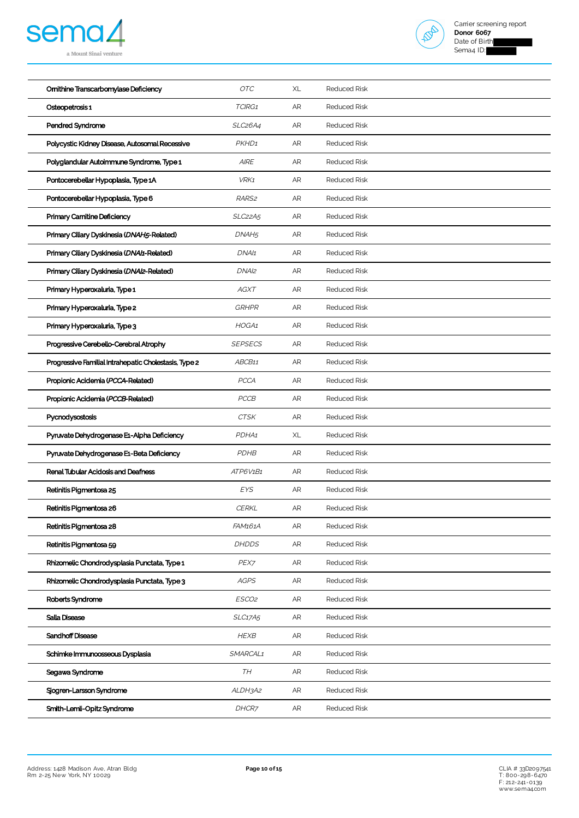



| Ornithine Transcarbomylase Deficiency                 | OTC                              | XL         | <b>Reduced Risk</b> |
|-------------------------------------------------------|----------------------------------|------------|---------------------|
| Osteopetrosis 1                                       | TCIRG1                           | AR         | <b>Reduced Risk</b> |
| Pendred Syndrome                                      | SLC <sub>26</sub> A4             | AR         | <b>Reduced Risk</b> |
| Polycystic Kidney Disease, Autosomal Recessive        | PKHD1                            | AR         | <b>Reduced Risk</b> |
| Polyglandular Autoimmune Syndrome. Type 1             | <b>AIRE</b>                      | ${\sf AR}$ | <b>Reduced Risk</b> |
| Pontocerebellar Hypoplasia, Type 1A                   | VRK1                             | AR         | <b>Reduced Risk</b> |
| Pontocerebellar Hypoplasia, Type 6                    | RARS <sub>2</sub>                | AR         | <b>Reduced Risk</b> |
| Primary Carnitine Deficiency                          | SLC <sub>22</sub> A <sub>5</sub> | AR         | <b>Reduced Risk</b> |
| Primary Ciliary Dyskinesia (DNAH5-Related)            | DNAH <sub>5</sub>                | AR         | <b>Reduced Risk</b> |
| Primary Ciliary Dyskinesia (DNA/1-Related)            | DNA/1                            | AR         | <b>Reduced Risk</b> |
| Primary Ciliary Dyskinesia (DNAI2-Related)            | DNAI <sub>2</sub>                | AR         | <b>Reduced Risk</b> |
| Primary Hyperoxaluria, Type 1                         | <b>AGXT</b>                      | AR         | <b>Reduced Risk</b> |
| Primary Hyperoxaluria, Type 2                         | <b>GRHPR</b>                     | ${\sf AR}$ | <b>Reduced Risk</b> |
| Primary Hyperoxaluria, Type 3                         | HOGA1                            | AR         | <b>Reduced Risk</b> |
| Progressive Cerebello-Cerebral Atrophy                | <b>SEPSECS</b>                   | AR         | <b>Reduced Risk</b> |
| Progressive Familial Intrahepatic Cholestasis, Type 2 | ABCB11                           | AR         | <b>Reduced Risk</b> |
| Propionic Acidemia (PCCA-Related)                     | <b>PCCA</b>                      | AR         | <b>Reduced Risk</b> |
| Propionic Acidemia (PCCB-Related)                     | PCCB                             | AR         | <b>Reduced Risk</b> |
| Pycnodysostosis                                       | <b>CTSK</b>                      | AR         | <b>Reduced Risk</b> |
| Pyruvate Dehydrogenase E1-Alpha Deficiency            | PDHA1                            | XL         | <b>Reduced Risk</b> |
| Pyruvate Dehydrogenase E1-Beta Deficiency             | <b>PDHB</b>                      | AR         | <b>Reduced Risk</b> |
| Renal Tubular Acidosis and Deafness                   | ATP6V1B1                         | AR         | <b>Reduced Risk</b> |
| Retinitis Pigmentosa 25                               | EYS                              | AR         | Reduced Risk        |
| Retinitis Pigmentosa 26                               | <b>CERKL</b>                     | AR         | <b>Reduced Risk</b> |
| Retinitis Pigmentosa 28                               | FAM161A                          | AR         | <b>Reduced Risk</b> |
| Retinitis Pigmentosa 59                               | <b>DHDDS</b>                     | AR         | <b>Reduced Risk</b> |
| Rhizomelic Chondrodysplasia Punctata, Type 1          | PEX7                             | AR         | <b>Reduced Risk</b> |
| Rhizomelic Chondrodysplasia Punctata, Type 3          | <b>AGPS</b>                      | AR         | <b>Reduced Risk</b> |
| Roberts Syndrome                                      | ESCO2                            | AR         | <b>Reduced Risk</b> |
| Salla Disease                                         | SLC17A5                          | AR         | <b>Reduced Risk</b> |
| Sandhoff Disease                                      | <b>HEXB</b>                      | AR         | <b>Reduced Risk</b> |
| Schimke Immunoosseous Dysplasia                       | SMARCAL1                         | AR         | <b>Reduced Risk</b> |
| Segawa Syndrome                                       | TH                               | AR         | <b>Reduced Risk</b> |
| Sjogren-Larsson Syndrome                              | ALDH3A2                          | AR         | <b>Reduced Risk</b> |
| Smith-Lemli-Opitz Syndrome                            | DHCR7                            | AR         | <b>Reduced Risk</b> |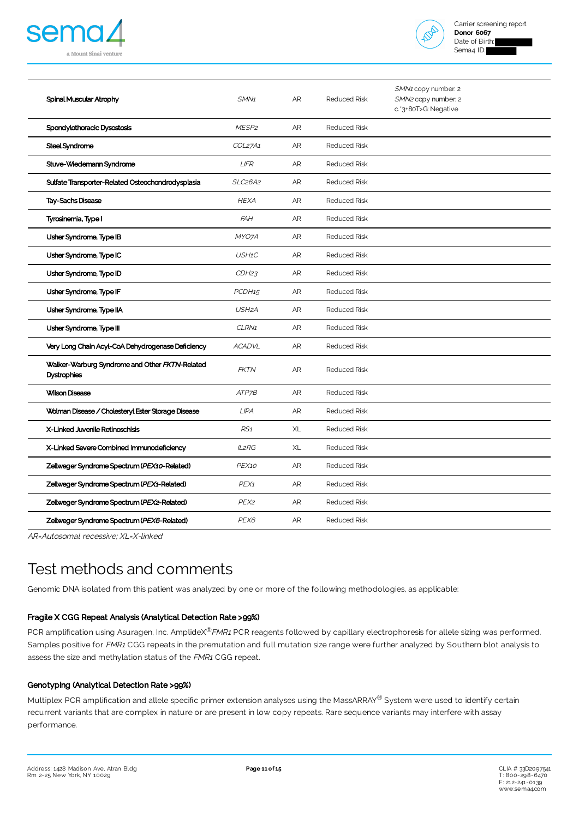



| Spinal Muscular Atrophy                                              | SMN <sub>1</sub>                 | AR        | <b>Reduced Risk</b> | SMN1 copy number: 2<br>SMN2 copy number: 2<br>c.'3+80T>G: Negative |
|----------------------------------------------------------------------|----------------------------------|-----------|---------------------|--------------------------------------------------------------------|
| Spondylothoracic Dysostosis                                          | MESP <sub>2</sub>                | AR        | <b>Reduced Risk</b> |                                                                    |
| Steel Syndrome                                                       | COL27A1                          | AR        | <b>Reduced Risk</b> |                                                                    |
| Stuve-Wiedemann Syndrome                                             | <b>LIFR</b>                      | AR        | <b>Reduced Risk</b> |                                                                    |
| Sulfate Transporter-Related Osteochondrodysplasia                    | SLC <sub>26</sub> A <sub>2</sub> | AR        | <b>Reduced Risk</b> |                                                                    |
| Tay-Sachs Disease                                                    | <b>HEXA</b>                      | AR        | <b>Reduced Risk</b> |                                                                    |
| Tyrosinemia, Type I                                                  | <b>FAH</b>                       | AR        | <b>Reduced Risk</b> |                                                                    |
| Usher Syndrome, Type IB                                              | MYO7A                            | <b>AR</b> | <b>Reduced Risk</b> |                                                                    |
| Usher Syndrome, Type IC                                              | USH1C                            | AR        | <b>Reduced Risk</b> |                                                                    |
| Usher Syndrome, Type ID                                              | CDH23                            | AR        | <b>Reduced Risk</b> |                                                                    |
| Usher Syndrome, Type IF                                              | PCDH <sub>15</sub>               | AR        | <b>Reduced Risk</b> |                                                                    |
| Usher Syndrome, Type IIA                                             | USH <sub>2</sub> A               | AR        | <b>Reduced Risk</b> |                                                                    |
| Usher Syndrome, Type III                                             | CLRN1                            | AR        | <b>Reduced Risk</b> |                                                                    |
| Very Long Chain Acyl-CoA Dehydrogenase Deficiency                    | <b>ACADVL</b>                    | AR        | <b>Reduced Risk</b> |                                                                    |
| Walker-Warburg Syndrome and Other FKTN-Related<br><b>Dystrophies</b> | <b>FKTN</b>                      | AR        | <b>Reduced Risk</b> |                                                                    |
| <b>Wilson Disease</b>                                                | ATP7B                            | AR        | <b>Reduced Risk</b> |                                                                    |
| Wolman Disease / Cholesteryl Ester Storage Disease                   | LIPA                             | AR        | <b>Reduced Risk</b> |                                                                    |
| X-Linked Juvenile Retinoschisis                                      | RS <sub>1</sub>                  | XL        | <b>Reduced Risk</b> |                                                                    |
| X-Linked Severe Combined Immunodeficiency                            | <b>IL2RG</b>                     | XL        | <b>Reduced Risk</b> |                                                                    |
| Zellweger Syndrome Spectrum (PEX10-Related)                          | PEX10                            | AR        | <b>Reduced Risk</b> |                                                                    |
| Zellweger Syndrome Spectrum (PEX1-Related)                           | PEX1                             | AR        | <b>Reduced Risk</b> |                                                                    |
| Zellweger Syndrome Spectrum (PEX2-Related)                           | PEX <sub>2</sub>                 | AR        | <b>Reduced Risk</b> |                                                                    |
| Zellweger Syndrome Spectrum (PEX6-Related)                           | PEX6                             | <b>AR</b> | <b>Reduced Risk</b> |                                                                    |

AR=Autosomal recessive; XL=X-linked

# Test methods and comments

Genomic DNA isolated from this patient was analyzed by one or more of the following methodologies, as applicable:

### Fragile X CGG Repeat Analysis (Analytical Detection Rate >99%)

PCR amplification using Asuragen, Inc. AmplideX<sup>®</sup>FMR1 PCR reagents followed by capillary electrophoresis for allele sizing was performed. Samples positive for FMR1 CGG repeats in the premutation and full mutation size range were further analyzed by Southern blot analysis to assess the size and methylation status of the FMR1 CGG repeat.

### Genotyping (Analytical Detection Rate >99%)

Multiplex PCR amplification and allele specific primer extension analyses using the MassARRAY® System were used to identify certain recurrent variants that are complex in nature or are present in low copy repeats. Rare sequence variants may interfere with assay performance.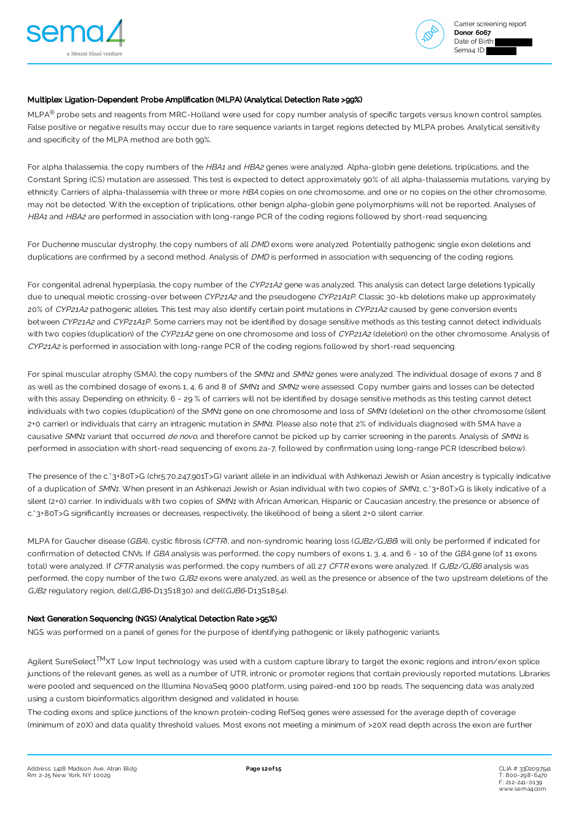



### Multiplex Ligation-Dependent Probe Amplification (MLPA) (Analytical Detection Rate >99%)

MLPA<sup>®</sup> probe sets and reagents from MRC-Holland were used for copy number analysis of specific targets versus known control samples. False positive or negative results may occur due to rare sequence variants in target regions detected by MLPA probes. Analytical sensitivity and specificity of the MLPA method are both 99%.

For alpha thalassemia, the copy numbers of the HBA1 and HBA2 genes were analyzed. Alpha-globin gene deletions, triplications, and the Constant Spring (CS) mutation are assessed. This test is expected to detect approximately 90% of all alpha-thalassemia mutations, varying by ethnicity. Carriers of alpha-thalassemia with three or more HBA copies on one chromosome, and one or no copies on the other chromosome, may not be detected. With the exception of triplications, other benign alpha-globin gene polymorphisms will not be reported. Analyses of HBA1 and HBA2 are performed in association with long-range PCR of the coding regions followed by short-read sequencing.

For Duchenne muscular dystrophy, the copy numbers of all DMD exons were analyzed. Potentially pathogenic single exon deletions and duplications are confirmed by a second method. Analysis of DMD is performed in association with sequencing of the coding regions.

For congenital adrenal hyperplasia, the copy number of the CYP21A2 gene was analyzed. This analysis can detect large deletions typically due to unequal meiotic crossing-over between CYP21A2 and the pseudogene CYP21A1P. Classic 30-kb deletions make up approximately 20% of CYP21A2 pathogenic alleles. This test may also identify certain point mutations in CYP21A2 caused by gene conversion events between CYP21A2 and CYP21A1P. Some carriers may not be identified by dosage sensitive methods as this testing cannot detect individuals with two copies (duplication) of the CYP21A2 gene on one chromosome and loss of CYP21A2 (deletion) on the other chromosome. Analysis of CYP21A2 is performed in association with long-range PCR of the coding regions followed by short-read sequencing.

For spinal muscular atrophy (SMA), the copy numbers of the SMN1 and SMN2 genes were analyzed. The individual dosage of exons 7 and 8 as well as the combined dosage of exons 1, 4, 6 and 8 of SMN1 and SMN2 were assessed. Copy number gains and losses can be detected with this assay. Depending on ethnicity, 6 - 29% of carriers will not be identified by dosage sensitive methods as this testing cannot detect individuals with two copies (duplication) of the SMN1 gene on one chromosome and loss of SMN1 (deletion) on the other chromosome (silent 2+0 carrier) or individuals that carry an intragenic mutation in SMN1. Please also note that 2% of individuals diagnosed with SMA have a causative SMN1 variant that occurred de novo, and therefore cannot be picked up by carrier screening in the parents. Analysis of SMN1 is performed in association with short-read sequencing of exons 2a-7, followed by confirmation using long-range PCR (described below).

The presence of the c.\*3+80T>G (chr5:70,247,901T>G) variant allele in an individual with Ashkenazi Jewish or Asian ancestry is typically indicative of a duplication of SMN1. When present in an Ashkenazi Jewish or Asian individual with two copies of SMN1, c.\*3+80T>G is likely indicative of a silent (2+0) carrier. In individuals with two copies of SMN1 with African American, Hispanic or Caucasian ancestry, the presence or absence of c.\*3+80T>G significantly increases or decreases, respectively, the likelihood of being a silent 2+0 silent carrier.

MLPA for Gaucher disease (GBA), cystic fibrosis (CFTR), and non-syndromic hearing loss (GJB2/GJB6) will only be performed if indicated for confirmation of detected CNVs. If GBA analysis was performed, the copy numbers of exons 1, 3, 4, and 6 - 10 of the GBA gene (of 11 exons total) were analyzed. If CFTR analysis was performed, the copy numbers of all 27 CFTR exons were analyzed. If GJB2/GJB6 analysis was performed, the copy number of the two GJB2 exons were analyzed, as well as the presence or absence of the two upstream deletions of the GJB2 regulatory region, del(GJB6-D13S1830) and del(GJB6-D13S1854).

### Next Generation Sequencing (NGS) (Analytical Detection Rate >95%)

NGS was performed on a panel of genes for the purpose of identifying pathogenic or likely pathogenic variants.

Agilent SureSelect<sup>TM</sup>XT Low Input technology was used with a custom capture library to target the exonic regions and intron/exon splice junctions of the relevant genes, as well as a number of UTR, intronic or promoter regions that contain previously reported mutations. Libraries were pooled and sequenced on the Illumina NovaSeq 9000 platform, using paired-end 100 bp reads. The sequencing data was analyzed using a custom bioinformatics algorithm designed and validated in house.

The coding exons and splice junctions of the known protein-coding RefSeq genes were assessed for the average depth of coverage (minimum of 20X) and data quality threshold values. Most exons not meeting a minimum of >20X read depth across the exon are further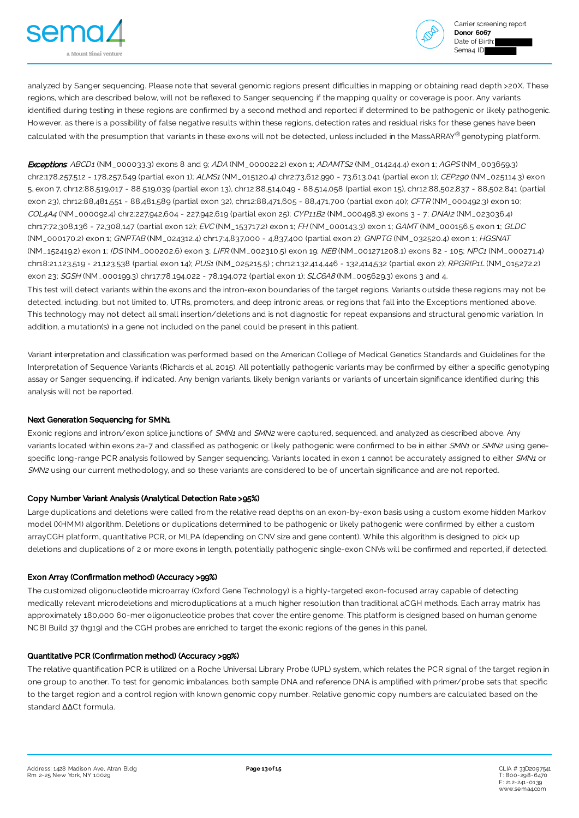



analyzed by Sanger sequencing. Please note that several genomic regions present difficulties in mapping or obtaining read depth >20X. These regions, which are described below, will not be reflexed to Sanger sequencing if the mapping quality or coverage is poor. Any variants identified during testing in these regions are confirmed by a second method and reported if determined to be pathogenic or likely pathogenic. However, as there is a possibility of false negative results within these regions, detection rates and residual risks for these genes have been calculated with the presumption that variants in these exons will not be detected, unless included in the MassARRAY® genotyping platform.

**Exceptions:** ABCD1 (NM\_000033.3) exons 8 and 9; ADA (NM\_000022.2) exon 1; ADAMTS2 (NM\_014244.4) exon 1; AGPS (NM\_003659.3) chr2:178,257,512 - 178,257,649 (partial exon 1); ALMS1 (NM\_015120.4) chr2:73,612,990 - 73,613,041 (partial exon 1); CEP290 (NM\_025114.3) exon 5, exon 7, chr12:88,519,017 - 88,519,039 (partial exon 13), chr12:88,514,049 - 88,514,058 (partial exon 15), chr12:88,502,837 - 88,502,841 (partial exon 23), chr12:88,481,551 - 88,481,589 (partial exon 32), chr12:88,471,605 - 88,471,700 (partial exon 40); CFTR (NM\_000492.3) exon 10; COL4A4 (NM\_000092.4) chr2:227,942,604 - 227,942,619 (partial exon 25); CYP11B2 (NM\_000498.3) exons 3 - 7; DNAI2 (NM\_023036.4) chr17:72,308,136 - 72,308,147 (partial exon 12); EVC (NM\_153717.2) exon 1; FH (NM\_000143.3) exon 1; GAMT (NM\_000156.5 exon 1; GLDC (NM\_000170.2) exon 1; GNPTAB (NM\_024312.4) chr17:4,837,000 - 4,837,400 (partial exon 2); GNPTG (NM\_032520.4) exon 1; HGSNAT (NM\_152419.2) exon 1; IDS (NM\_000202.6) exon 3; LIFR (NM\_002310.5) exon 19; NEB (NM\_001271208.1) exons 82 - 105; NPC1 (NM\_000271.4) chr18:21,123,519 - 21,123,538 (partial exon 14); PUS1 (NM\_025215.5) ; chr12:132,414,446 - 132,414,532 (partial exon 2); RPGRIP1L (NM\_015272.2) exon 23; SGSH (NM\_000199.3) chr17:78,194,022 - 78,194,072 (partial exon 1); SLC6A8 (NM\_005629.3) exons 3 and 4.

This test will detect variants within the exons and the intron-exon boundaries of the target regions. Variants outside these regions may not be detected, including, but not limited to, UTRs, promoters, and deep intronic areas, or regions that fall into the Exceptions mentioned above. This technology may not detect all small insertion/deletions and is not diagnostic for repeat expansions and structural genomic variation. In addition, a mutation(s) in a gene not included on the panel could be present in this patient.

Variant interpretation and classification was performed based on the American College of Medical Genetics Standards and Guidelines for the Interpretation of Sequence Variants (Richards et al, 2015). All potentially pathogenic variants may be confirmed by either a specific genotyping assay or Sanger sequencing, if indicated. Any benign variants, likely benign variants or variants of uncertain significance identified during this analysis will not be reported.

### Next Generation Sequencing for SMN1

Exonic regions and intron/exon splice junctions of SMN1 and SMN2 were captured, sequenced, and analyzed as described above. Any variants located within exons 2a-7 and classified as pathogenic or likely pathogenic were confirmed to be in either SMN1 or SMN2 using genespecific long-range PCR analysis followed by Sanger sequencing. Variants located in exon 1 cannot be accurately assigned to either SMN1 or SMN2 using our current methodology, and so these variants are considered to be of uncertain significance and are not reported.

### Copy Number Variant Analysis (Analytical Detection Rate >95%)

Large duplications and deletions were called from the relative read depths on an exon-by-exon basis using a custom exome hidden Markov model (XHMM) algorithm. Deletions or duplications determined to be pathogenic or likely pathogenic were confirmed by either a custom arrayCGH platform, quantitative PCR, or MLPA (depending on CNV size and gene content). While this algorithm is designed to pick up deletions and duplications of 2 or more exons in length, potentially pathogenic single-exon CNVs will be confirmed and reported, if detected.

### Exon Array (Confirmation method) (Accuracy >99%)

The customized oligonucleotide microarray (Oxford Gene Technology) is a highly-targeted exon-focused array capable of detecting medically relevant microdeletions and microduplications at a much higher resolution than traditional aCGH methods. Each array matrix has approximately 180,000 60-mer oligonucleotide probes that cover the entire genome. This platform is designed based on human genome NCBI Build 37 (hg19) and the CGH probes are enriched to target the exonic regions of the genes in this panel.

### Quantitative PCR (Confirmation method) (Accuracy >99%)

The relative quantification PCR is utilized on a Roche Universal Library Probe (UPL) system, which relates the PCR signal of the target region in one group to another. To test for genomic imbalances, both sample DNA and reference DNA is amplified with primer/probe sets that specific to the target region and a control region with known genomic copy number. Relative genomic copy numbers are calculated based on the standard ∆∆Ct formula.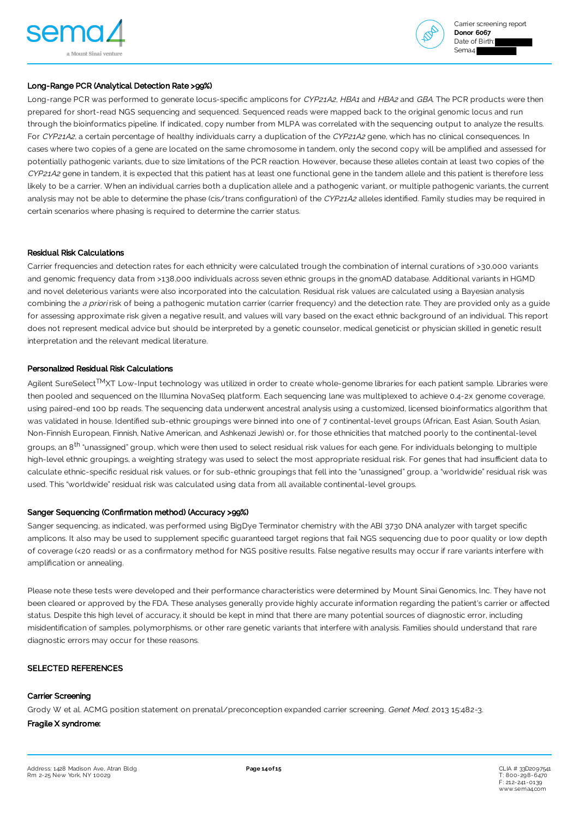



### Long-Range PCR (Analytical Detection Rate >99%)

Long-range PCR was performed to generate locus-specific amplicons for CYP21A2, HBA1 and HBA2 and GBA. The PCR products were then prepared for short-read NGS sequencing and sequenced. Sequenced reads were mapped back to the original genomic locus and run through the bioinformatics pipeline. If indicated, copy number from MLPA was correlated with the sequencing output to analyze the results. For CYP21A2, a certain percentage of healthy individuals carry a duplication of the CYP21A2 gene, which has no clinical consequences. In cases where two copies of a gene are located on the same chromosome in tandem, only the second copy will be amplified and assessed for potentially pathogenic variants, due to size limitations of the PCR reaction. However, because these alleles contain at least two copies of the CYP21A2 gene in tandem, it is expected that this patient has at least one functional gene in the tandem allele and this patient is therefore less likely to be a carrier. When an individual carries both a duplication allele and a pathogenic variant, or multiple pathogenic variants, the current analysis may not be able to determine the phase (cis/trans configuration) of the CYP21A2 alleles identified. Family studies may be required in certain scenarios where phasing is required to determine the carrier status.

### Residual Risk Calculations

Carrier frequencies and detection rates for each ethnicity were calculated trough the combination of internal curations of >30,000 variants and genomic frequency data from >138,000 individuals across seven ethnic groups in the gnomAD database. Additional variants in HGMD and novel deleterious variants were also incorporated into the calculation. Residual risk values are calculated using a Bayesian analysis combining the a priori risk of being a pathogenic mutation carrier (carrier frequency) and the detection rate. They are provided only as a quide for assessing approximate risk given a negative result, and values will vary based on the exact ethnic background of an individual. This report does not represent medical advice but should be interpreted by a genetic counselor, medical geneticist or physician skilled in genetic result interpretation and the relevant medical literature.

### Personalized Residual Risk Calculations

Agilent SureSelect™XT Low-Input technology was utilized in order to create whole-genome libraries for each patient sample. Libraries were then pooled and sequenced on the Illumina NovaSeq platform. Each sequencing lane was multiplexed to achieve 0.4-2x genome coverage, using paired-end 100 bp reads. The sequencing data underwent ancestral analysis using a customized, licensed bioinformatics algorithm that was validated in house. Identified sub-ethnic groupings were binned into one of 7 continental-level groups (African, East Asian, South Asian, Non-Finnish European, Finnish, Native American, and Ashkenazi Jewish) or, for those ethnicities that matched poorly to the continental-level groups, an 8<sup>th</sup> "unassigned" group, which were then used to select residual risk values for each gene. For individuals belonging to multiple high-level ethnic groupings, a weighting strategy was used to select the most appropriate residual risk. For genes that had insufficient data to calculate ethnic-specific residual risk values, or for sub-ethnic groupings that fell into the "unassigned" group, a "worldwide" residual risk was used. This "worldwide" residual risk was calculated using data from all available continental-level groups.

### Sanger Sequencing (Confirmation method) (Accuracy >99%)

Sanger sequencing, as indicated, was performed using BigDye Terminator chemistry with the ABI 3730 DNA analyzer with target specific amplicons. It also may be used to supplement specific guaranteed target regions that fail NGS sequencing due to poor quality or low depth of coverage (<20 reads) or as a confirmatory method for NGS positive results. False negative results may occur if rare variants interfere with amplification or annealing.

Please note these tests were developed and their performance characteristics were determined by Mount Sinai Genomics, Inc. They have not been cleared or approved by the FDA. These analyses generally provide highly accurate information regarding the patient's carrier or affected status. Despite this high level of accuracy, it should be kept in mind that there are many potential sources of diagnostic error, including misidentification of samples, polymorphisms, or other rare genetic variants that interfere with analysis. Families should understand that rare diagnostic errors may occur for these reasons.

#### SELECTED REFERENCES

### Carrier Screening

Grody W et al. ACMG position statement on prenatal/preconception expanded carrier screening. Genet Med. 2013 15:482-3.

### Fragile X syndrome: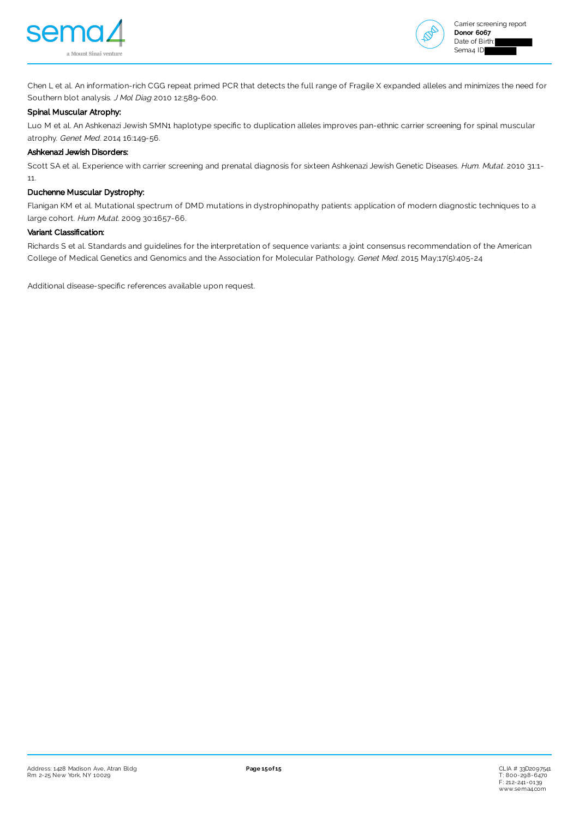



Chen L et al. An information-rich CGG repeat primed PCR that detects the full range of Fragile X expanded alleles and minimizes the need for Southern blot analysis. J Mol Diag 2010 12:589-600.

### Spinal Muscular Atrophy:

Luo M et al. An Ashkenazi Jewish SMN1 haplotype specific to duplication alleles improves pan-ethnic carrier screening for spinal muscular atrophy. Genet Med. 2014 16:149-56.

#### Ashkenazi Jewish Disorders:

Scott SA et al. Experience with carrier screening and prenatal diagnosis for sixteen Ashkenazi Jewish Genetic Diseases. Hum. Mutat. 2010 31:1-11.

### Duchenne Muscular Dystrophy:

Flanigan KM et al. Mutational spectrum of DMD mutations in dystrophinopathy patients: application of modern diagnostic techniques to a large cohort. Hum Mutat. 2009 30:1657-66.

### Variant Classification:

Richards S et al. Standards and guidelines for the interpretation of sequence variants: a joint consensus recommendation of the American College of Medical Genetics and Genomics and the Association for Molecular Pathology. Genet Med. 2015 May;17(5):405-24

Additional disease-specific references available upon request.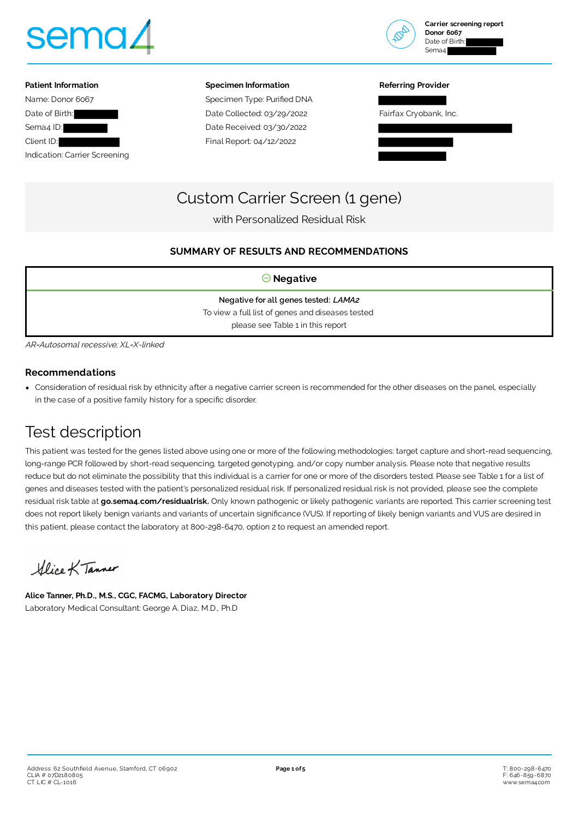





#### **Specimen Information**

Specimen Type: Purified DNA Date Collected: 03/29/2022 Date Received: 03/30/2022 Final Report: 04/12/2022

#### **Referring Provider**

Fairfax Cryobank, Inc.



## Custom Carrier Screen (1 gene)

with Personalized Residual Risk

### **SUMMARY OF RESULTS AND RECOMMENDATIONS**

| $\Theta$ Negative                                |  |  |  |  |  |
|--------------------------------------------------|--|--|--|--|--|
| Negative for all genes tested: LAMA2             |  |  |  |  |  |
| To view a full list of genes and diseases tested |  |  |  |  |  |
| please see Table 1 in this report                |  |  |  |  |  |

AR=Autosomal recessive; XL=X-linked

### **Recommendations**

Consideration of residual risk by ethnicity after a negative carrier screen is recommended for the other diseases on the panel, especially in the case of a positive family history for a specific disorder.

# Test description

This patient was tested for the genes listed above using one or more of the following methodologies: target capture and short-read sequencing, long-range PCR followed by short-read sequencing, targeted genotyping, and/or copy number analysis. Please note that negative results reduce but do not eliminate the possibility that this individual is a carrier for one or more of the disorders tested. Please see Table 1 for a list of genes and diseases tested with the patient's personalized residual risk. If personalized residual risk is not provided, please see the complete residual risk table at **[go.sema4.com/residualrisk.](https://go.sema4.com/residualrisk)** Only known pathogenic or likely pathogenic variants are reported. This carrier screening test does not report likely benign variants and variants of uncertain significance (VUS). If reporting of likely benign variants and VUS are desired in this patient, please contact the laboratory at 800-298-6470, option 2 to request an amended report.

Glice K Tanner

**Alice Tanner, Ph.D., M.S., CGC, FACMG, Laboratory Director** Laboratory Medical Consultant: George A. Diaz, M.D., Ph.D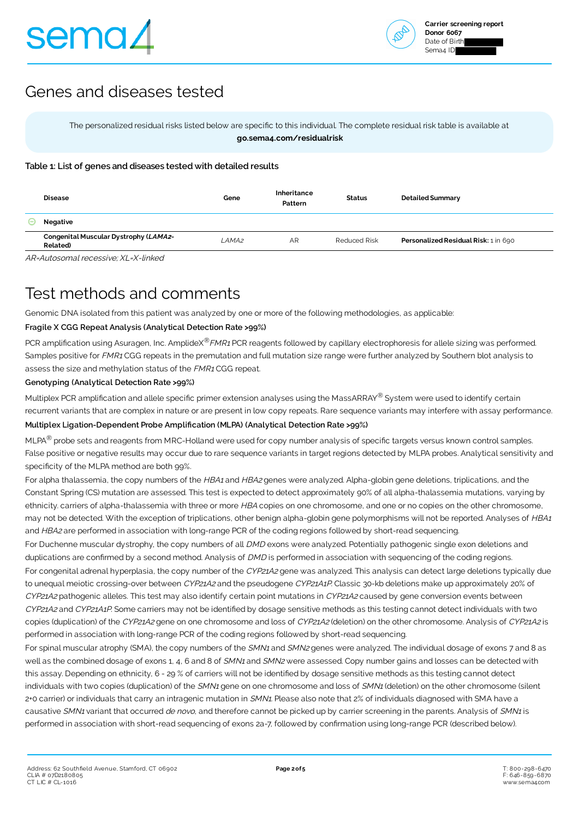

# Genes and diseases tested

The personalized residual risks listed below are specific to this individual. The complete residual risk table is available at  **[go.sema4.com/residualrisk](https://go.sema4.com/residualrisk)**

### **Table 1: List of genes and diseases tested with detailed results**

| <b>Disease</b>                                          | Gene  | Inheritance<br>Pattern | <b>Status</b>       | <b>Detailed Summary</b>              |
|---------------------------------------------------------|-------|------------------------|---------------------|--------------------------------------|
| Negative                                                |       |                        |                     |                                      |
| Congenital Muscular Dystrophy (LAMA2-<br><b>Related</b> | LAMA2 | AR                     | <b>Reduced Risk</b> | Personalized Residual Risk: 1 in 690 |

AR=Autosomal recessive; XL=X-linked

# Test methods and comments

Genomic DNA isolated from this patient was analyzed by one or more of the following methodologies, as applicable:

### **Fragile X CGG Repeat Analysis (Analytical Detection Rate >99%)**

PCR amplification using Asuragen, Inc. AmplideX®FMR1 PCR reagents followed by capillary electrophoresis for allele sizing was performed. Samples positive for FMR1 CGG repeats in the premutation and full mutation size range were further analyzed by Southern blot analysis to assess the size and methylation status of the *FMR1* CGG repeat.

### **Genotyping (Analytical Detection Rate >99%)**

Multiplex PCR amplification and allele specific primer extension analyses using the MassARRAY® System were used to identify certain recurrent variants that are complex in nature or are present in low copy repeats. Rare sequence variants may interfere with assay performance.

### **Multiplex Ligation-Dependent Probe Amplification (MLPA) (Analytical Detection Rate >99%)**

MLPA<sup>®</sup> probe sets and reagents from MRC-Holland were used for copy number analysis of specific targets versus known control samples. False positive or negative results may occur due to rare sequence variants in target regions detected by MLPA probes. Analytical sensitivity and specificity of the MLPA method are both 99%.

For alpha thalassemia, the copy numbers of the HBA1 and HBA2 genes were analyzed. Alpha-globin gene deletions, triplications, and the Constant Spring (CS) mutation are assessed. This test is expected to detect approximately 90% of all alpha-thalassemia mutations, varying by ethnicity. carriers of alpha-thalassemia with three or more HBA copies on one chromosome, and one or no copies on the other chromosome, may not be detected. With the exception of triplications, other benign alpha-globin gene polymorphisms will not be reported. Analyses of HBA1 and HBA2 are performed in association with long-range PCR of the coding regions followed by short-read sequencing.

For Duchenne muscular dystrophy, the copy numbers of all DMD exons were analyzed. Potentially pathogenic single exon deletions and duplications are confirmed by a second method. Analysis of DMD is performed in association with sequencing of the coding regions.

For congenital adrenal hyperplasia, the copy number of the CYP21A2 gene was analyzed. This analysis can detect large deletions typically due to unequal meiotic crossing-over between CYP21A2 and the pseudogene CYP21A1P. Classic 30-kb deletions make up approximately 20% of CYP21A2 pathogenic alleles. This test may also identify certain point mutations in CYP21A2 caused by gene conversion events between CYP21A2 and CYP21A1P. Some carriers may not be identified by dosage sensitive methods as this testing cannot detect individuals with two copies (duplication) of the CYP21A2 gene on one chromosome and loss of CYP21A2 (deletion) on the other chromosome. Analysis of CYP21A2 is performed in association with long-range PCR of the coding regions followed by short-read sequencing.

For spinal muscular atrophy (SMA), the copy numbers of the SMN1 and SMN2 genes were analyzed. The individual dosage of exons 7 and 8 as well as the combined dosage of exons 1, 4, 6 and 8 of SMN1 and SMN2 were assessed. Copy number gains and losses can be detected with this assay. Depending on ethnicity, 6 - 29 % of carriers will not be identified by dosage sensitive methods as this testing cannot detect individuals with two copies (duplication) of the SMN1 gene on one chromosome and loss of SMN1 (deletion) on the other chromosome (silent 2+0 carrier) or individuals that carry an intragenic mutation in SMN1. Please also note that 2% of individuals diagnosed with SMA have a causative SMN1 variant that occurred de novo, and therefore cannot be picked up by carrier screening in the parents. Analysis of SMN1 is performed in association with short-read sequencing of exons 2a-7, followed by confirmation using long-range PCR (described below).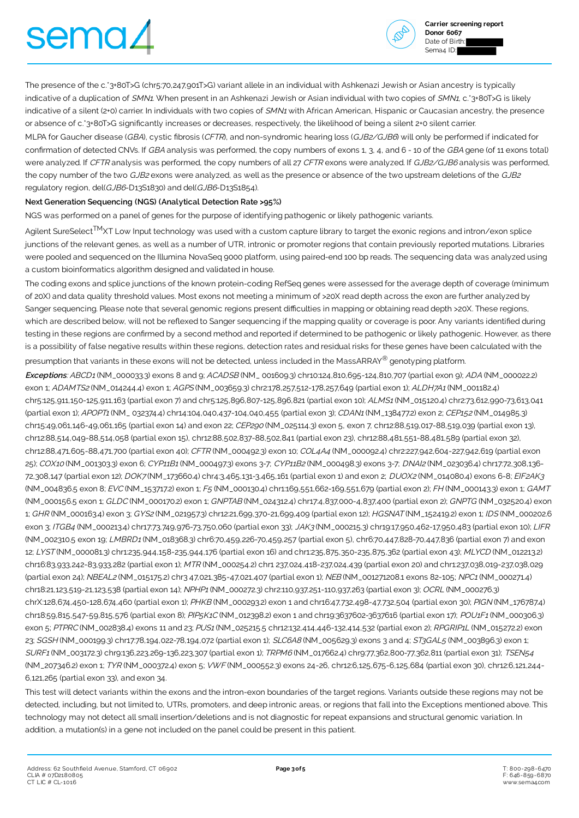# sema∠



**Carrier screening report Donor 6067** Date of Birth: Sema<sub>4</sub> ID:

The presence of the c.\*3+80T>G (chr5:70,247,901T>G) variant allele in an individual with Ashkenazi Jewish or Asian ancestry is typically indicative of a duplication of SMN1. When present in an Ashkenazi Jewish or Asian individual with two copies of SMN1, c.\*3+80T>G is likely indicative of a silent (2+0) carrier. In individuals with two copies of SMN1 with African American, Hispanic or Caucasian ancestry, the presence or absence of c.\*3+80T>G significantly increases or decreases, respectively, the likelihood of being a silent 2+0 silent carrier.

MLPA for Gaucher disease (GBA), cystic fibrosis (CFTR), and non-syndromic hearing loss (GJB2/GJB6) will only be performed if indicated for confirmation of detected CNVs. If GBA analysis was performed, the copy numbers of exons 1, 3, 4, and 6 - 10 of the GBA gene (of 11 exons total) were analyzed. If CFTR analysis was performed, the copy numbers of all 27 CFTR exons were analyzed. If GJB2/GJB6 analysis was performed, the copy number of the two GJB2 exons were analyzed, as well as the presence or absence of the two upstream deletions of the GJB2 regulatory region, del(GJB6-D13S1830) and del(GJB6-D13S1854).

### **Next Generation Sequencing (NGS) (Analytical Detection Rate >95%)**

NGS was performed on a panel of genes for the purpose of identifying pathogenic or likely pathogenic variants.

Agilent SureSelect<sup>TM</sup>XT Low Input technology was used with a custom capture library to target the exonic regions and intron/exon splice junctions of the relevant genes, as well as a number of UTR, intronic or promoter regions that contain previously reported mutations. Libraries were pooled and sequenced on the Illumina NovaSeq 9000 platform, using paired-end 100 bp reads. The sequencing data was analyzed using a custom bioinformatics algorithm designed and validated in house.

The coding exons and splice junctions of the known protein-coding RefSeq genes were assessed for the average depth of coverage (minimum of 20X) and data quality threshold values. Most exons not meeting a minimum of >20X read depth across the exon are further analyzed by Sanger sequencing. Please note that several genomic regions present difficulties in mapping or obtaining read depth >20X. These regions, which are described below, will not be reflexed to Sanger sequencing if the mapping quality or coverage is poor. Any variants identified during testing in these regions are confirmed by a second method and reported if determined to be pathogenic or likely pathogenic. However, as there is a possibility of false negative results within these regions, detection rates and residual risks for these genes have been calculated with the presumption that variants in these exons will not be detected, unless included in the MassARRAY® genotyping platform.

**Exceptions**: ABCD1 (NM\_000033.3) exons 8 and 9; ACADSB (NM\_ 001609.3) chr10:124,810,695-124,810,707 (partial exon 9); ADA (NM\_000022.2) exon 1; ADAMTS2 (NM\_014244.4) exon 1; AGPS (NM\_003659.3) chr2:178,257,512-178,257,649 (partial exon 1); ALDH7A1 (NM\_001182.4) chr5:125,911,150-125,911,163 (partial exon 7) and chr5:125,896,807-125,896,821 (partial exon 10); ALMS1 (NM\_015120.4) chr2:73,612,990-73,613,041 (partial exon 1); APOPT1 (NM\_ 032374.4) chr14:104,040,437-104,040,455 (partial exon 3); CDAN1 (NM\_138477.2) exon 2; CEP152 (NM\_014985.3) chr15:49,061,146-49,061,165 (partial exon 14) and exon 22; CEP290 (NM\_025114.3) exon 5, exon 7, chr12:88,519,017-88,519,039 (partial exon 13), chr12:88,514,049-88,514,058 (partial exon 15), chr12:88,502,837-88,502,841 (partial exon 23), chr12:88,481,551-88,481,589 (partial exon 32), chr12:88,471,605-88,471,700 (partial exon 40); CFTR (NM\_000492.3) exon 10; COL4A4 (NM\_000092.4) chr2:227,942,604-227,942,619 (partial exon 25); COX10 (NM\_001303.3) exon 6; CYP11B1 (NM\_000497.3) exons 3-7; CYP11B2 (NM\_000498.3) exons 3-7; DNAI2 (NM\_0230364) chr17:72,308,136-72,308,147 (partial exon 12); DOK7 (NM\_173660.4) chr4:3,465,131-3,465,161 (partial exon 1) and exon 2; DUOX2 (NM\_014080.4) exons 6-8; EIF2AK3 (NM\_004836.5 exon 8; EVC (NM\_153717.2) exon 1; F5 (NM\_000130.4) chr1:169,551,662-169,551,679 (partial exon 2); FH (NM\_000143.3) exon 1; GAMT (NM\_000156.5 exon 1; GLDC (NM\_000170.2) exon 1; GNPTAB (NM\_024312.4) chr17:4,837,000-4,837,400 (partial exon 2); GNPTG (NM\_032520.4) exon 1; GHR (NM\_000163.4) exon 3; GYS2 (NM\_021957.3) chr12:21,699,370-21,699,409 (partial exon 12); HGSNAT (NM\_152419.2) exon 1; IDS (NM\_000202.6 exon 3; ITGB4 (NM\_000213.4) chr17:73,749,976-73,750,060 (partial exon 33); JAK3 (NM\_000215.3) chr19:17,950,462-17,950,483 (partial exon 10); LIFR (NM\_002310.5 exon 19; LMBRD1 (NM\_018368.3) chr6:70,459,226-70,459,257 (partial exon 5), chr6:70,447,828-70,447,836 (partial exon 7) and exon 12; LYST (NM\_000081.3) chr1:235,944,158-235,944,176 (partial exon 16) and chr1:235,875,350-235,875,362 (partial exon 43); MLYCD (NM\_012213.2) chr16:83,933,242-83,933,282 (partial exon 1); MTR (NM\_000254.2) chr1 237,024,418-237,024,439 (partial exon 20) and chr1:237,038,019-237,038,029 (partial exon 24); NBEAL2 (NM\_015175.2) chr3 47,021,385-47,021,407 (partial exon 1); NEB (NM\_001271208.1 exons 82-105; NPC1 (NM\_000271.4) chr18:21,123,519-21,123,538 (partial exon 14); NPHP1 (NM\_000272.3) chr2:110,937,251-110,937,263 (partial exon 3); OCRL (NM\_000276.3) chrX:128,674,450-128,674,460 (partial exon 1); PHKB (NM\_000293.2) exon 1 and chr16:47,732,498-47,732,504 (partial exon 30); PIGN (NM\_176787.4) chr18:59,815,547-59,815,576 (partial exon 8); PIP5K1C (NM\_012398.2) exon 1 and chr19:3637602-3637616 (partial exon 17); POU1F1 (NM\_000306.3) exon 5; PTPRC (NM\_002838.4) exons 11 and 23; PUS1 (NM\_025215.5 chr12:132,414,446-132,414,532 (partial exon 2); RPGRIP1L (NM\_015272.2) exon 23; SGSH (NM\_000199.3) chr17:78,194,022-78,194,072 (partial exon 1); SLC6A8 (NM\_005629.3) exons 3 and 4; ST3GAL5 (NM\_003896.3) exon 1; SURF1 (NM\_003172.3) chr9:136,223,269-136,223,307 (partial exon 1); TRPM6 (NM\_017662.4) chr9:77,362,800-77,362,811 (partial exon 31); TSEN54 (NM\_207346.2) exon 1; TYR (NM\_000372.4) exon 5; VWF (NM\_000552.3) exons 24-26, chr12:6,125,675-6,125,684 (partial exon 30), chr12:6,121,244- 6,121,265 (partial exon 33), and exon 34.

This test will detect variants within the exons and the intron-exon boundaries of the target regions. Variants outside these regions may not be detected, including, but not limited to, UTRs, promoters, and deep intronic areas, or regions that fall into the Exceptions mentioned above. This technology may not detect all small insertion/deletions and is not diagnostic for repeat expansions and structural genomic variation. In addition, a mutation(s) in a gene not included on the panel could be present in this patient.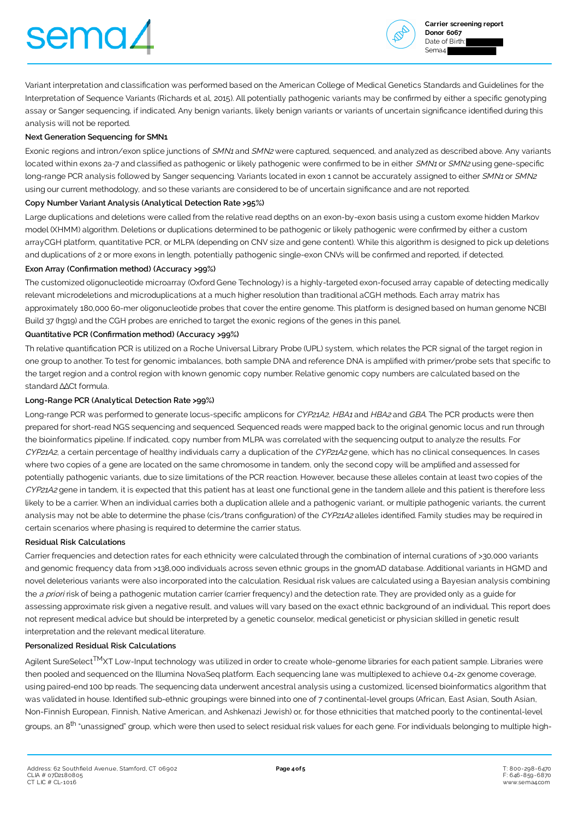# sema/



Variant interpretation and classification was performed based on the American College of Medical Genetics Standards and Guidelines for the Interpretation of Sequence Variants (Richards et al, 2015). All potentially pathogenic variants may be confirmed by either a specific genotyping assay or Sanger sequencing, if indicated. Any benign variants, likely benign variants or variants of uncertain significance identified during this analysis will not be reported.

### **Next Generation Sequencing for SMN1**

Exonic regions and intron/exon splice junctions of SMN1 and SMN2 were captured, sequenced, and analyzed as described above. Any variants located within exons 2a-7 and classified as pathogenic or likely pathogenic were confirmed to be in either SMN1 or SMN2 using gene-specific long-range PCR analysis followed by Sanger sequencing. Variants located in exon 1 cannot be accurately assigned to either SMN1 or SMN2 using our current methodology, and so these variants are considered to be of uncertain significance and are not reported.

### **Copy Number Variant Analysis (Analytical Detection Rate >95%)**

Large duplications and deletions were called from the relative read depths on an exon-by-exon basis using a custom exome hidden Markov model (XHMM) algorithm. Deletions or duplications determined to be pathogenic or likely pathogenic were confirmed by either a custom arrayCGH platform, quantitative PCR, or MLPA (depending on CNV size and gene content). While this algorithm is designed to pick up deletions and duplications of 2 or more exons in length, potentially pathogenic single-exon CNVs will be confirmed and reported, if detected.

### **Exon Array (Confirmation method) (Accuracy >99%)**

The customized oligonucleotide microarray (Oxford Gene Technology) is a highly-targeted exon-focused array capable of detecting medically relevant microdeletions and microduplications at a much higher resolution than traditional aCGH methods. Each array matrix has approximately 180,000 60-mer oligonucleotide probes that cover the entire genome. This platform is designed based on human genome NCBI Build 37 (hg19) and the CGH probes are enriched to target the exonic regions of the genes in this panel.

### **Quantitative PCR (Confirmation method) (Accuracy >99%)**

Th relative quantification PCR is utilized on a Roche Universal Library Probe (UPL) system, which relates the PCR signal of the target region in one group to another. To test for genomic imbalances, both sample DNA and reference DNA is amplified with primer/probe sets that specific to the target region and a control region with known genomic copy number. Relative genomic copy numbers are calculated based on the standard ∆∆Ct formula.

### **Long-Range PCR (Analytical Detection Rate >99%)**

Long-range PCR was performed to generate locus-specific amplicons for CYP21A2, HBA1 and HBA2 and GBA. The PCR products were then prepared for short-read NGS sequencing and sequenced. Sequenced reads were mapped back to the original genomic locus and run through the bioinformatics pipeline. If indicated, copy number from MLPA was correlated with the sequencing output to analyze the results. For CYP21A2, a certain percentage of healthy individuals carry a duplication of the CYP21A2 gene, which has no clinical consequences. In cases where two copies of a gene are located on the same chromosome in tandem, only the second copy will be amplified and assessed for potentially pathogenic variants, due to size limitations of the PCR reaction. However, because these alleles contain at least two copies of the CYP21A2 gene in tandem, it is expected that this patient has at least one functional gene in the tandem allele and this patient is therefore less likely to be a carrier. When an individual carries both a duplication allele and a pathogenic variant, or multiple pathogenic variants, the current analysis may not be able to determine the phase (cis/trans configuration) of the CYP21A2 alleles identified. Family studies may be required in certain scenarios where phasing is required to determine the carrier status.

### **Residual Risk Calculations**

Carrier frequencies and detection rates for each ethnicity were calculated through the combination of internal curations of >30,000 variants and genomic frequency data from >138,000 individuals across seven ethnic groups in the gnomAD database. Additional variants in HGMD and novel deleterious variants were also incorporated into the calculation. Residual risk values are calculated using a Bayesian analysis combining the a priori risk of being a pathogenic mutation carrier (carrier frequency) and the detection rate. They are provided only as a quide for assessing approximate risk given a negative result, and values will vary based on the exact ethnic background of an individual. This report does not represent medical advice but should be interpreted by a genetic counselor, medical geneticist or physician skilled in genetic result interpretation and the relevant medical literature.

### **Personalized Residual Risk Calculations**

Agilent SureSelect<sup>TM</sup>XT Low-Input technology was utilized in order to create whole-genome libraries for each patient sample. Libraries were then pooled and sequenced on the Illumina NovaSeq platform. Each sequencing lane was multiplexed to achieve 0.4-2x genome coverage, using paired-end 100 bp reads. The sequencing data underwent ancestral analysis using a customized, licensed bioinformatics algorithm that was validated in house. Identified sub-ethnic groupings were binned into one of 7 continental-level groups (African, East Asian, South Asian, Non-Finnish European, Finnish, Native American, and Ashkenazi Jewish) or, for those ethnicities that matched poorly to the continental-level groups, an 8<sup>th</sup> "unassigned" group, which were then used to select residual risk values for each gene. For individuals belonging to multiple high-